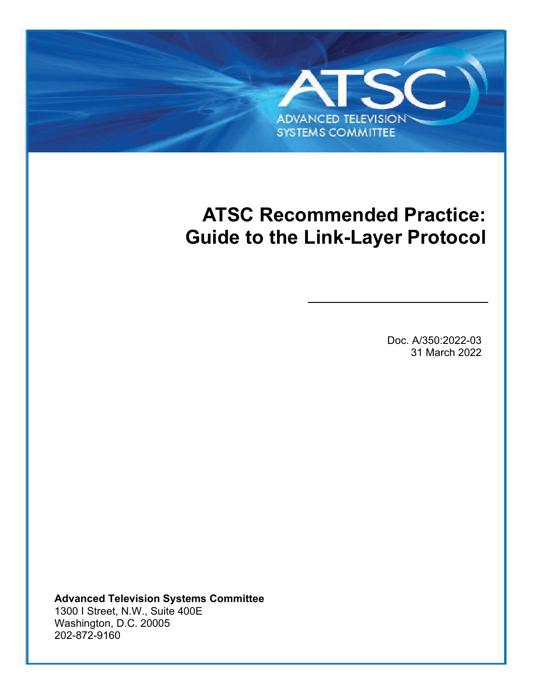# **ADVANCED TELEVISION SYSTEMS COMMITTEE**

## <span id="page-0-1"></span>**ATSC Recommended Practice: Guide to the Link-Layer Protocol**

<span id="page-0-2"></span><span id="page-0-0"></span>Doc. A/350:2022-03 31 March 2022

**Advanced Television Systems Committee** 1300 I Street, N.W., Suite 400E Washington, D.C. 20005 202-872-9160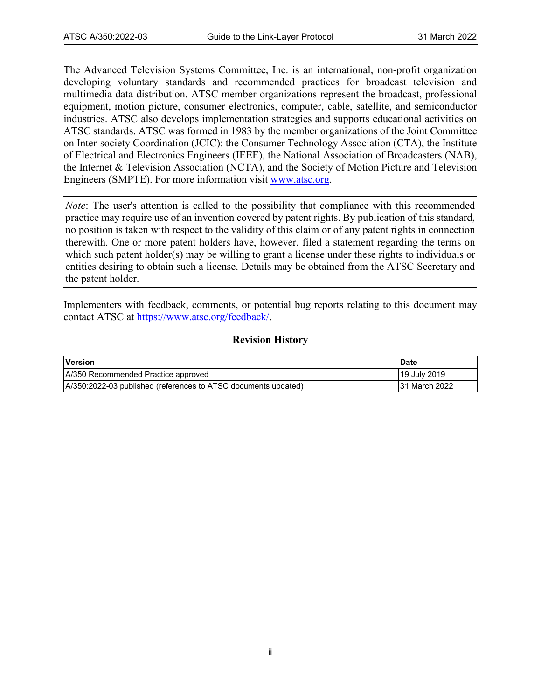The Advanced Television Systems Committee, Inc. is an international, non-profit organization developing voluntary standards and recommended practices for broadcast television and multimedia data distribution. ATSC member organizations represent the broadcast, professional equipment, motion picture, consumer electronics, computer, cable, satellite, and semiconductor industries. ATSC also develops implementation strategies and supports educational activities on ATSC standards. ATSC was formed in 1983 by the member organizations of the Joint Committee on Inter-society Coordination (JCIC): the Consumer Technology Association (CTA), the Institute of Electrical and Electronics Engineers (IEEE), the National Association of Broadcasters (NAB), the Internet & Television Association (NCTA), and the Society of Motion Picture and Television Engineers (SMPTE). For more information visit [www.atsc.org.](http://www.atsc.org/)

*Note*: The user's attention is called to the possibility that compliance with this recommended practice may require use of an invention covered by patent rights. By publication of this standard, no position is taken with respect to the validity of this claim or of any patent rights in connection therewith. One or more patent holders have, however, filed a statement regarding the terms on which such patent holder(s) may be willing to grant a license under these rights to individuals or entities desiring to obtain such a license. Details may be obtained from the ATSC Secretary and the patent holder.

Implementers with feedback, comments, or potential bug reports relating to this document may contact ATSC at [https://www.atsc.org/feedback/.](https://www.atsc.org/feedback/)

#### **Revision History**

| <b>Version</b>                                                 | <b>Date</b>                |
|----------------------------------------------------------------|----------------------------|
| A/350 Recommended Practice approved                            | 19 July 2019               |
| A/350:2022-03 published (references to ATSC documents updated) | <sup>∣</sup> 31 March 2022 |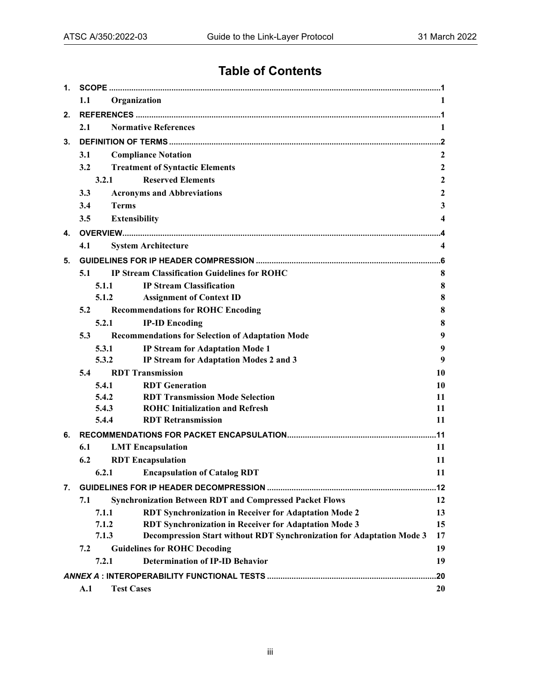## **Table of Contents**

| 1. |       |                                                                       |                  |
|----|-------|-----------------------------------------------------------------------|------------------|
|    | 1.1   | Organization                                                          |                  |
| 2. |       |                                                                       |                  |
|    | 2.1   | <b>Normative References</b>                                           | 1                |
| 3. |       |                                                                       |                  |
|    | 3.1   | <b>Compliance Notation</b>                                            | 2                |
|    | 3.2   | <b>Treatment of Syntactic Elements</b>                                | $\boldsymbol{2}$ |
|    | 3.2.1 | <b>Reserved Elements</b>                                              | $\boldsymbol{2}$ |
|    | 3.3   | <b>Acronyms and Abbreviations</b>                                     | $\mathbf{2}$     |
|    | 3.4   | <b>Terms</b>                                                          | 3                |
|    | 3.5   | <b>Extensibility</b>                                                  | 4                |
| 4. |       |                                                                       |                  |
|    | 4.1   | <b>System Architecture</b>                                            | 4                |
| 5. |       |                                                                       |                  |
|    | 5.1   | <b>IP Stream Classification Guidelines for ROHC</b>                   | 8                |
|    | 5.1.1 | <b>IP Stream Classification</b>                                       | 8                |
|    | 5.1.2 | <b>Assignment of Context ID</b>                                       | 8                |
|    | 5.2   | <b>Recommendations for ROHC Encoding</b>                              | 8                |
|    | 5.2.1 | <b>IP-ID Encoding</b>                                                 | 8                |
|    | 5.3   | <b>Recommendations for Selection of Adaptation Mode</b>               | 9                |
|    | 5.3.1 | <b>IP Stream for Adaptation Mode 1</b>                                | 9                |
|    | 5.3.2 | IP Stream for Adaptation Modes 2 and 3                                | 9                |
|    | 5.4   | <b>RDT Transmission</b>                                               | 10               |
|    | 5.4.1 | <b>RDT</b> Generation                                                 | 10               |
|    | 5.4.2 | <b>RDT Transmission Mode Selection</b>                                | 11               |
|    | 5.4.3 | <b>ROHC Initialization and Refresh</b>                                | 11               |
|    | 5.4.4 | <b>RDT Retransmission</b>                                             | 11               |
| 6. |       |                                                                       |                  |
|    | 6.1   | <b>LMT</b> Encapsulation                                              | 11               |
|    | 6.2   | <b>RDT</b> Encapsulation                                              | 11               |
|    | 6.2.1 | <b>Encapsulation of Catalog RDT</b>                                   | 11               |
| 7. |       |                                                                       |                  |
|    | 7.1   | <b>Synchronization Between RDT and Compressed Packet Flows</b>        | 12               |
|    | 7.1.1 | <b>RDT Synchronization in Receiver for Adaptation Mode 2</b>          | 13               |
|    | 7.1.2 | RDT Synchronization in Receiver for Adaptation Mode 3                 | 15               |
|    | 7.1.3 | Decompression Start without RDT Synchronization for Adaptation Mode 3 | 17               |
|    | 7.2   | <b>Guidelines for ROHC Decoding</b>                                   | 19               |
|    | 7.2.1 | <b>Determination of IP-ID Behavior</b>                                | 19               |
|    |       |                                                                       |                  |
|    | A.1   | <b>Test Cases</b>                                                     | 20               |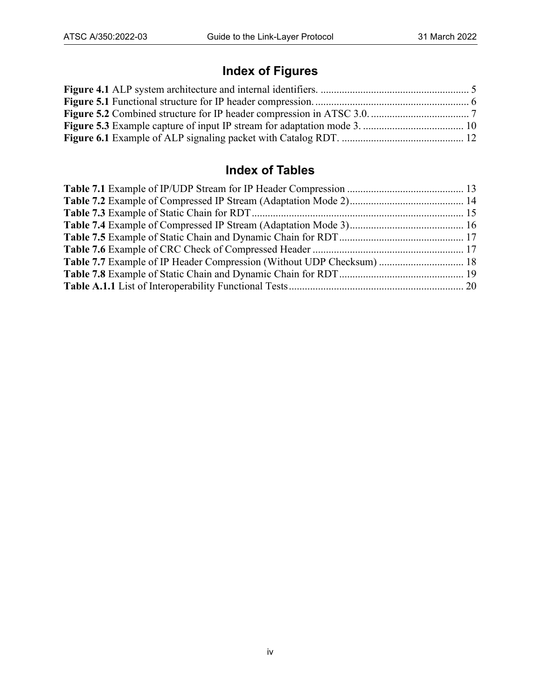## **Index of Figures**

## **Index of Tables**

| Table 7.7 Example of IP Header Compression (Without UDP Checksum)  18 |  |
|-----------------------------------------------------------------------|--|
|                                                                       |  |
|                                                                       |  |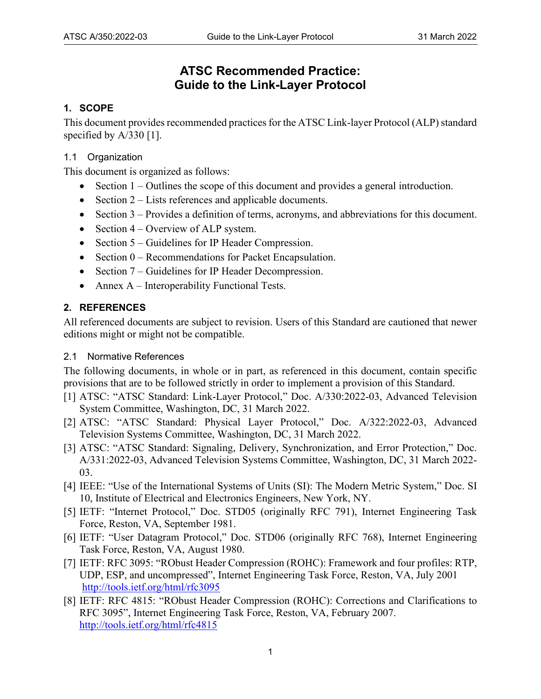### **ATSC Recommended Practice: Guide to the Link-Layer Protocol**

#### <span id="page-4-0"></span>**1. SCOPE**

This document provides recommended practices for the ATSC Link-layer Protocol (ALP) standard specified by A/330 [\[1\].](#page-4-4)

#### <span id="page-4-1"></span>1.1 Organization

This document is organized as follows:

- Section [1](#page-4-0)  Outlines the scope of this document and provides a general introduction.
- Section [2](#page-4-2)  Lists references and applicable documents.
- Section [3](#page-5-0)  Provides a definition of terms, acronyms, and abbreviations for this document.
- Section [4](#page-7-1)  Overview of ALP system.
- Section [5](#page-9-0)  Guidelines for IP Header Compression.
- Section [0](#page-14-7)  Recommendations for Packet Encapsulation.
- Section [7](#page-15-0)  Guidelines for IP Header Decompression.
- [Annex A](#page-23-0)  Interoperability Functional Tests.

#### <span id="page-4-2"></span>**2. REFERENCES**

All referenced documents are subject to revision. Users of this Standard are cautioned that newer editions might or might not be compatible.

#### <span id="page-4-3"></span>2.1 Normative References

The following documents, in whole or in part, as referenced in this document, contain specific provisions that are to be followed strictly in order to implement a provision of this Standard.

- <span id="page-4-4"></span>[1] ATSC: "ATSC Standard: Link-Layer Protocol," Doc. A/330:2022-03, Advanced Television System Committee, Washington, DC, 31 March 2022.
- [2] ATSC: "ATSC Standard: Physical Layer Protocol," Doc. A/322:2022-03, Advanced Television Systems Committee, Washington, DC, 31 March 2022.
- <span id="page-4-6"></span>[3] ATSC: "ATSC Standard: Signaling, Delivery, Synchronization, and Error Protection," Doc. A/331:2022-03, Advanced Television Systems Committee, Washington, DC, 31 March 2022- 03.
- <span id="page-4-5"></span>[4] IEEE: "Use of the International Systems of Units (SI): The Modern Metric System," Doc. SI 10, Institute of Electrical and Electronics Engineers, New York, NY.
- [5] IETF: "Internet Protocol," Doc. STD05 (originally RFC 791), Internet Engineering Task Force, Reston, VA, September 1981.
- <span id="page-4-7"></span>[6] IETF: "User Datagram Protocol," Doc. STD06 (originally RFC 768), Internet Engineering Task Force, Reston, VA, August 1980.
- [7] IETF: RFC 3095: "RObust Header Compression (ROHC): Framework and four profiles: RTP, UDP, ESP, and uncompressed", Internet Engineering Task Force, Reston, VA, July 2001 <http://tools.ietf.org/html/rfc3095>
- [8] IETF: RFC 4815: "RObust Header Compression (ROHC): Corrections and Clarifications to RFC 3095", Internet Engineering Task Force, Reston, VA, February 2007. <http://tools.ietf.org/html/rfc4815>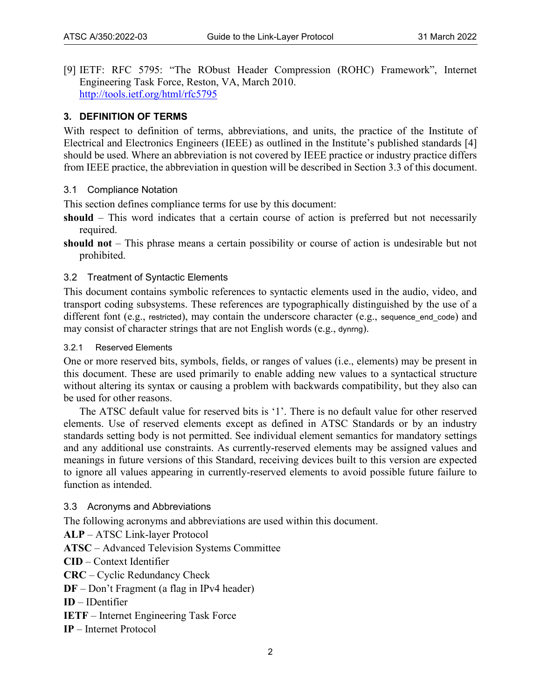[9] IETF: RFC 5795: "The RObust Header Compression (ROHC) Framework", Internet Engineering Task Force, Reston, VA, March 2010. <http://tools.ietf.org/html/rfc5795>

#### <span id="page-5-0"></span>**3. DEFINITION OF TERMS**

With respect to definition of terms, abbreviations, and units, the practice of the Institute of Electrical and Electronics Engineers (IEEE) as outlined in the Institute's published standards [\[4\]](#page-4-5) should be used. Where an abbreviation is not covered by IEEE practice or industry practice differs from IEEE practice, the abbreviation in question will be described in Sectio[n 3.3](#page-5-4) of this document.

<span id="page-5-1"></span>3.1 Compliance Notation

This section defines compliance terms for use by this document:

- **should** This word indicates that a certain course of action is preferred but not necessarily required.
- **should not** This phrase means a certain possibility or course of action is undesirable but not prohibited.

#### <span id="page-5-2"></span>3.2 Treatment of Syntactic Elements

This document contains symbolic references to syntactic elements used in the audio, video, and transport coding subsystems. These references are typographically distinguished by the use of a different font (e.g., restricted), may contain the underscore character (e.g., sequence end code) and may consist of character strings that are not English words (e.g., dynrng).

<span id="page-5-3"></span>3.2.1 Reserved Elements

One or more reserved bits, symbols, fields, or ranges of values (i.e., elements) may be present in this document. These are used primarily to enable adding new values to a syntactical structure without altering its syntax or causing a problem with backwards compatibility, but they also can be used for other reasons.

The ATSC default value for reserved bits is '1'. There is no default value for other reserved elements. Use of reserved elements except as defined in ATSC Standards or by an industry standards setting body is not permitted. See individual element semantics for mandatory settings and any additional use constraints. As currently-reserved elements may be assigned values and meanings in future versions of this Standard, receiving devices built to this version are expected to ignore all values appearing in currently-reserved elements to avoid possible future failure to function as intended.

<span id="page-5-4"></span>3.3 Acronyms and Abbreviations

The following acronyms and abbreviations are used within this document.

**ALP** – ATSC Link-layer Protocol

**ATSC** – Advanced Television Systems Committee

**CID** – Context Identifier

**CRC** – Cyclic Redundancy Check

**DF** – Don't Fragment (a flag in IPv4 header)

- **ID**  IDentifier
- **IETF** Internet Engineering Task Force

**IP** – Internet Protocol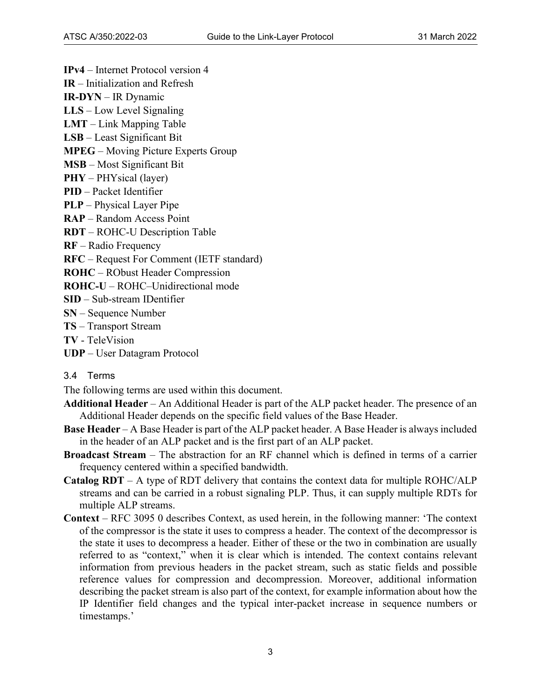**IPv4** – Internet Protocol version 4 **IR** – Initialization and Refresh **IR-DYN** – IR Dynamic **LLS** – Low Level Signaling **LMT** – Link Mapping Table **LSB** – Least Significant Bit **MPEG** – Moving Picture Experts Group **MSB** – Most Significant Bit **PHY** – PHYsical (layer) **PID** – Packet Identifier **PLP** – Physical Layer Pipe **RAP** – Random Access Point **RDT** – ROHC-U Description Table **RF** – Radio Frequency **RFC** – Request For Comment (IETF standard) **ROHC** – RObust Header Compression **ROHC-U** – ROHC–Unidirectional mode **SID** – Sub-stream IDentifier **SN** – Sequence Number **TS** – Transport Stream **TV** - TeleVision **UDP** – User Datagram Protocol

#### <span id="page-6-0"></span>3.4 Terms

The following terms are used within this document.

- **Additional Header** An Additional Header is part of the ALP packet header. The presence of an Additional Header depends on the specific field values of the Base Header.
- **Base Header** A Base Header is part of the ALP packet header. A Base Header is always included in the header of an ALP packet and is the first part of an ALP packet.
- **Broadcast Stream** The abstraction for an RF channel which is defined in terms of a carrier frequency centered within a specified bandwidth.
- **Catalog RDT** A type of RDT delivery that contains the context data for multiple ROHC/ALP streams and can be carried in a robust signaling PLP. Thus, it can supply multiple RDTs for multiple ALP streams.
- **Context** RFC 3095 [0](#page-20-3) describes Context, as used herein, in the following manner: 'The context of the compressor is the state it uses to compress a header. The context of the decompressor is the state it uses to decompress a header. Either of these or the two in combination are usually referred to as "context," when it is clear which is intended. The context contains relevant information from previous headers in the packet stream, such as static fields and possible reference values for compression and decompression. Moreover, additional information describing the packet stream is also part of the context, for example information about how the IP Identifier field changes and the typical inter-packet increase in sequence numbers or timestamps.'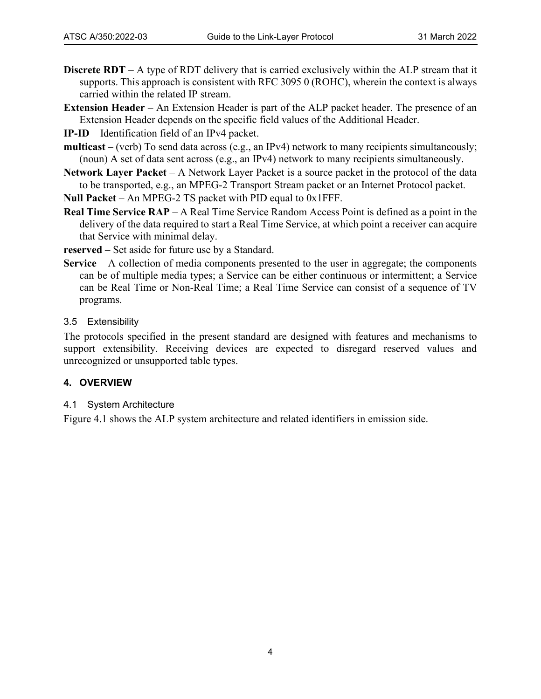- **Discrete RDT** A type of RDT delivery that is carried exclusively within the ALP stream that it supports. This approach is consistent with RFC 3095 [0](#page-20-3) (ROHC), wherein the context is always carried within the related IP stream.
- **Extension Header**  An Extension Header is part of the ALP packet header. The presence of an Extension Header depends on the specific field values of the Additional Header.
- **IP-ID** Identification field of an IPv4 packet.
- **multicast** (verb) To send data across (e.g., an IPv4) network to many recipients simultaneously; (noun) A set of data sent across (e.g., an IPv4) network to many recipients simultaneously.
- **Network Layer Packet**  A Network Layer Packet is a source packet in the protocol of the data to be transported, e.g., an MPEG-2 Transport Stream packet or an Internet Protocol packet.
- **Null Packet** An MPEG-2 TS packet with PID equal to 0x1FFF.
- **Real Time Service RAP** A Real Time Service Random Access Point is defined as a point in the delivery of the data required to start a Real Time Service, at which point a receiver can acquire that Service with minimal delay.

**reserved** – Set aside for future use by a Standard.

**Service** – A collection of media components presented to the user in aggregate; the components can be of multiple media types; a Service can be either continuous or intermittent; a Service can be Real Time or Non-Real Time; a Real Time Service can consist of a sequence of TV programs.

#### <span id="page-7-0"></span>3.5 Extensibility

The protocols specified in the present standard are designed with features and mechanisms to support extensibility. Receiving devices are expected to disregard reserved values and unrecognized or unsupported table types.

#### <span id="page-7-1"></span>**4. OVERVIEW**

#### <span id="page-7-2"></span>4.1 System Architecture

[Figure 4.1](#page-8-0) shows the ALP system architecture and related identifiers in emission side.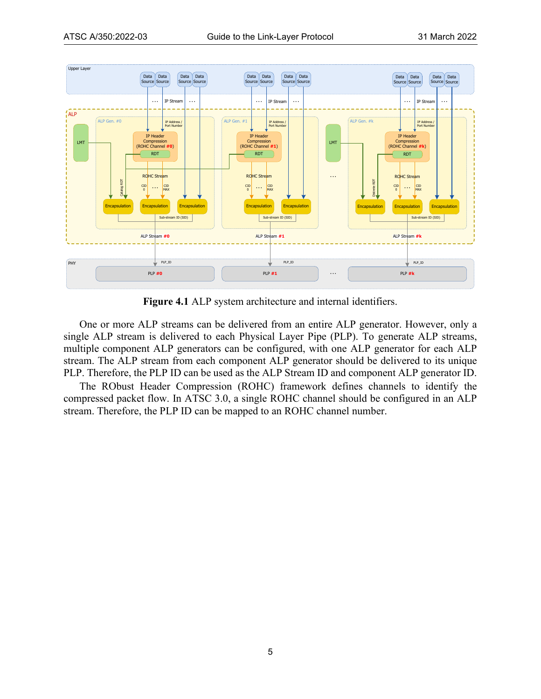

**Figure 4.1** ALP system architecture and internal identifiers.

<span id="page-8-0"></span>One or more ALP streams can be delivered from an entire ALP generator. However, only a single ALP stream is delivered to each Physical Layer Pipe (PLP). To generate ALP streams, multiple component ALP generators can be configured, with one ALP generator for each ALP stream. The ALP stream from each component ALP generator should be delivered to its unique PLP. Therefore, the PLP ID can be used as the ALP Stream ID and component ALP generator ID.

The RObust Header Compression (ROHC) framework defines channels to identify the compressed packet flow. In ATSC 3.0, a single ROHC channel should be configured in an ALP stream. Therefore, the PLP ID can be mapped to an ROHC channel number.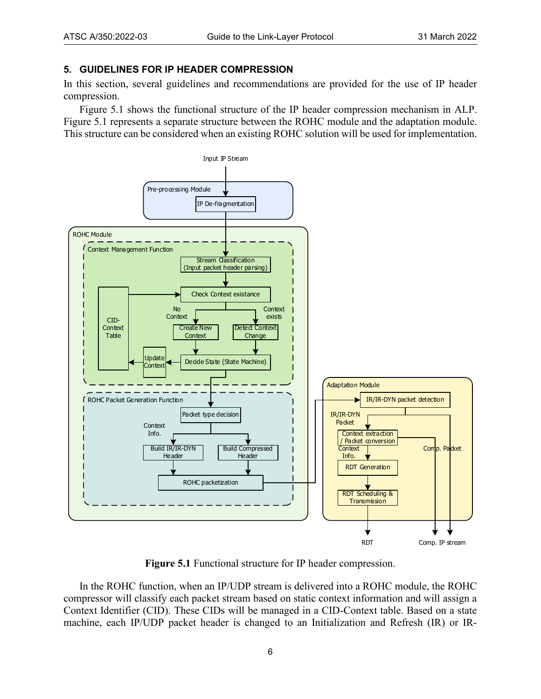#### <span id="page-9-0"></span>**5. GUIDELINES FOR IP HEADER COMPRESSION**

In this section, several guidelines and recommendations are provided for the use of IP header compression.

[Figure 5.1](#page-9-1) shows the functional structure of the IP header compression mechanism in ALP. [Figure 5.1](#page-9-1) represents a separate structure between the ROHC module and the adaptation module. This structure can be considered when an existing ROHC solution will be used for implementation.



**Figure 5.1** Functional structure for IP header compression.

<span id="page-9-1"></span>In the ROHC function, when an IP/UDP stream is delivered into a ROHC module, the ROHC compressor will classify each packet stream based on static context information and will assign a Context Identifier (CID). These CIDs will be managed in a CID-Context table. Based on a state machine, each IP/UDP packet header is changed to an Initialization and Refresh (IR) or IR-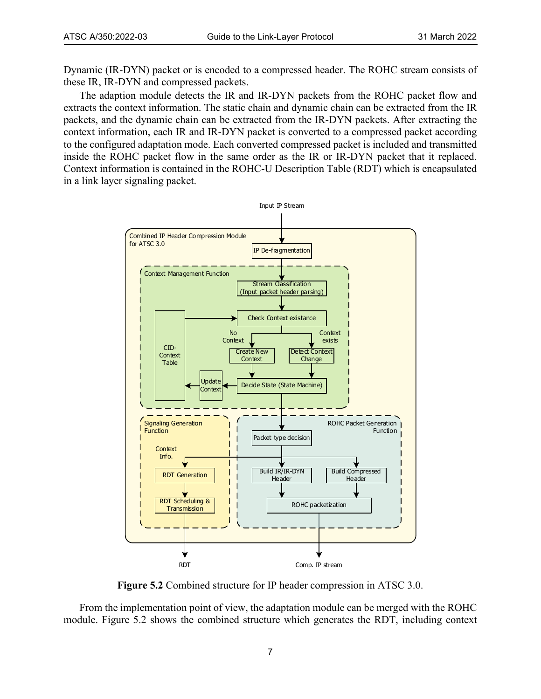Dynamic (IR-DYN) packet or is encoded to a compressed header. The ROHC stream consists of these IR, IR-DYN and compressed packets.

The adaption module detects the IR and IR-DYN packets from the ROHC packet flow and extracts the context information. The static chain and dynamic chain can be extracted from the IR packets, and the dynamic chain can be extracted from the IR-DYN packets. After extracting the context information, each IR and IR-DYN packet is converted to a compressed packet according to the configured adaptation mode. Each converted compressed packet is included and transmitted inside the ROHC packet flow in the same order as the IR or IR-DYN packet that it replaced. Context information is contained in the ROHC-U Description Table (RDT) which is encapsulated in a link layer signaling packet.



**Figure 5.2** Combined structure for IP header compression in ATSC 3.0.

<span id="page-10-0"></span>From the implementation point of view, the adaptation module can be merged with the ROHC module. [Figure 5.2](#page-10-0) shows the combined structure which generates the RDT, including context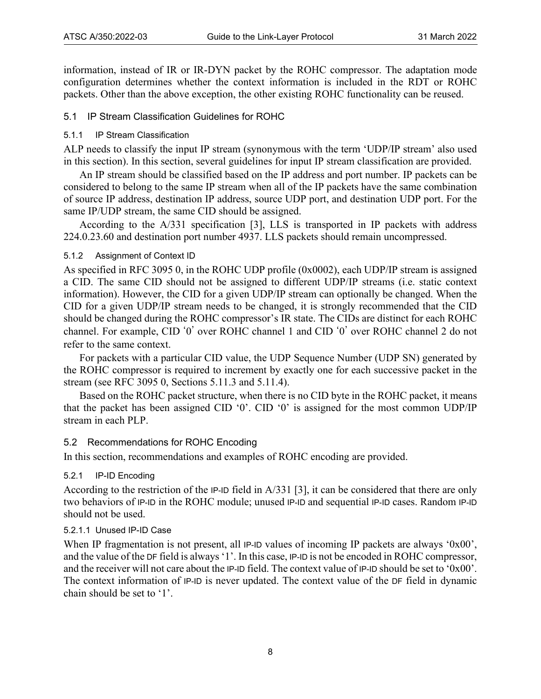information, instead of IR or IR-DYN packet by the ROHC compressor. The adaptation mode configuration determines whether the context information is included in the RDT or ROHC packets. Other than the above exception, the other existing ROHC functionality can be reused.

#### <span id="page-11-0"></span>5.1 IP Stream Classification Guidelines for ROHC

#### <span id="page-11-1"></span>5.1.1 IP Stream Classification

ALP needs to classify the input IP stream (synonymous with the term 'UDP/IP stream' also used in this section). In this section, several guidelines for input IP stream classification are provided.

An IP stream should be classified based on the IP address and port number. IP packets can be considered to belong to the same IP stream when all of the IP packets have the same combination of source IP address, destination IP address, source UDP port, and destination UDP port. For the same IP/UDP stream, the same CID should be assigned.

According to the A/331 specification [\[3\],](#page-4-6) LLS is transported in IP packets with address 224.0.23.60 and destination port number 4937. LLS packets should remain uncompressed.

#### <span id="page-11-2"></span>5.1.2 Assignment of Context ID

As specified in RFC 3095 [0,](#page-20-3) in the ROHC UDP profile (0x0002), each UDP/IP stream is assigned a CID. The same CID should not be assigned to different UDP/IP streams (i.e. static context information). However, the CID for a given UDP/IP stream can optionally be changed. When the CID for a given UDP/IP stream needs to be changed, it is strongly recommended that the CID should be changed during the ROHC compressor's IR state. The CIDs are distinct for each ROHC channel. For example, CID '0' over ROHC channel 1 and CID '0' over ROHC channel 2 do not refer to the same context.

For packets with a particular CID value, the UDP Sequence Number (UDP SN) generated by the ROHC compressor is required to increment by exactly one for each successive packet in the stream (see RFC 3095 [0,](#page-20-3) Sections 5.11.3 and 5.11.4).

Based on the ROHC packet structure, when there is no CID byte in the ROHC packet, it means that the packet has been assigned CID '0'. CID '0' is assigned for the most common UDP/IP stream in each PLP.

#### <span id="page-11-3"></span>5.2 Recommendations for ROHC Encoding

In this section, recommendations and examples of ROHC encoding are provided.

#### <span id="page-11-4"></span>5.2.1 IP-ID Encoding

According to the restriction of the IP-ID field in A/331 [\[3\],](#page-4-6) it can be considered that there are only two behaviors of IP-ID in the ROHC module; unused IP-ID and sequential IP-ID cases. Random IP-ID should not be used.

#### 5.2.1.1 Unused IP-ID Case

When IP fragmentation is not present, all IP-ID values of incoming IP packets are always '0x00', and the value of the DF field is always '1'. In this case, IP-ID is not be encoded in ROHC compressor, and the receiver will not care about the IP-ID field. The context value of IP-ID should be set to '0x00'. The context information of IP-ID is never updated. The context value of the DF field in dynamic chain should be set to '1'.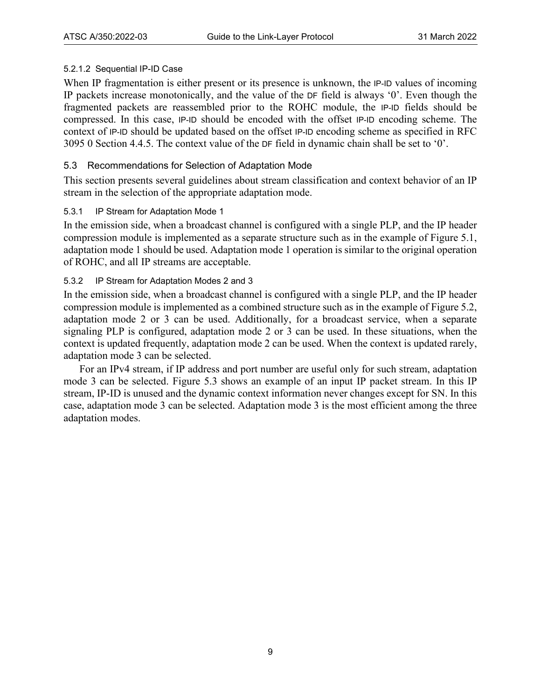#### 5.2.1.2 Sequential IP-ID Case

When IP fragmentation is either present or its presence is unknown, the IP-ID values of incoming IP packets increase monotonically, and the value of the DF field is always '0'. Even though the fragmented packets are reassembled prior to the ROHC module, the IP-ID fields should be compressed. In this case, IP-ID should be encoded with the offset IP-ID encoding scheme. The context of IP-ID should be updated based on the offset IP-ID encoding scheme as specified in RFC 3095 [0](#page-20-3) Section 4.4.5. The context value of the DF field in dynamic chain shall be set to '0'.

#### <span id="page-12-0"></span>5.3 Recommendations for Selection of Adaptation Mode

This section presents several guidelines about stream classification and context behavior of an IP stream in the selection of the appropriate adaptation mode.

#### <span id="page-12-1"></span>5.3.1 IP Stream for Adaptation Mode 1

In the emission side, when a broadcast channel is configured with a single PLP, and the IP header compression module is implemented as a separate structure such as in the example of [Figure 5.1,](#page-9-1) adaptation mode 1 should be used. Adaptation mode 1 operation is similar to the original operation of ROHC, and all IP streams are acceptable.

#### <span id="page-12-2"></span>5.3.2 IP Stream for Adaptation Modes 2 and 3

In the emission side, when a broadcast channel is configured with a single PLP, and the IP header compression module is implemented as a combined structure such as in the example of [Figure 5.2,](#page-10-0) adaptation mode 2 or 3 can be used. Additionally, for a broadcast service, when a separate signaling PLP is configured, adaptation mode 2 or 3 can be used. In these situations, when the context is updated frequently, adaptation mode 2 can be used. When the context is updated rarely, adaptation mode 3 can be selected.

For an IPv4 stream, if IP address and port number are useful only for such stream, adaptation mode 3 can be selected. [Figure 5.3](#page-13-2) shows an example of an input IP packet stream. In this IP stream, IP-ID is unused and the dynamic context information never changes except for SN. In this case, adaptation mode 3 can be selected. Adaptation mode 3 is the most efficient among the three adaptation modes.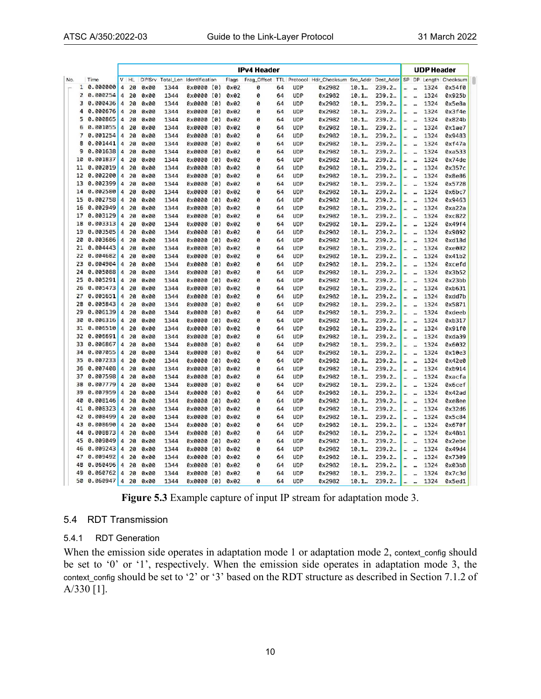| Frag Offset TTL Protocol Hdr_Checksum Src_Addr Dest_Addr SP DP Length Checksum<br>DiffSrv Total_Len Identification<br>V HL<br>Flags<br>No.<br>Time<br>10.000000<br>$\overline{4}$<br>20<br>$Q \times QQ$<br>1344<br>$0 \times 0000 (0)$<br>$0 \times 02$<br><b>UDP</b><br>0x2982<br>$10.1 -$<br>$239.2 -$<br>ø<br>64<br>2 0.000254<br>1344<br>$0 \times 02$<br>0<br><b>UDP</b><br>0×2982<br>239.2<br>4<br>20<br>$0 \times 00$<br>0x0000 (0)<br>64<br>10, 1<br>3 0.000436<br>0<br>UDP<br>0x2982<br>239.2<br>4<br>20<br>$0 \times 00$<br>1344<br>$0 \times 0000 (0)$<br>$0 \times 02$<br>64<br>10.1<br>4<br>0.000676<br><b>UDP</b><br>0x2982<br>239.2 <sub>mm</sub><br>4<br>20<br><b>0x00</b><br>1344<br>$0 \times 0000 (0)$<br>0x02<br>$\boldsymbol{\Omega}$<br>64<br>10.1<br>5 0.000865<br>4<br>20<br>1344<br>$0 \times 0000 (0)$<br>$0 \times 02$<br><b>UDP</b><br>0x2982<br>10.1<br>239.2<br>$0 \times 00$<br>0<br>64<br>0.001055<br>6<br>20<br>$0 \times 00$<br>1344<br>$0 \times 02$<br>0<br>UDP<br>0×2982<br>10.1<br>239.2<br>4<br>$0 \times 0000 (0)$<br>64<br>$\overline{7}$<br>0.001254<br>20<br>$0 \times 00$<br>1344<br>$0 \times 0000 (0)$<br>$0 \times 02$<br>UDP<br>0x2982<br>$10.1 -$<br>239.2<br>4<br>ø<br>64<br>8<br>0.001441<br>20<br><b>0x00</b><br>1344<br>$0 \times 0000 (0)$<br>0x02<br>0<br>UDP<br>0x2982<br>10.1<br>239.2<br>4<br>64<br>0.001638<br>9<br>4<br>0<br>UDP<br>0x2982<br>239.2<br>20<br>$0 \times 00$<br>1344<br>$0 \times 0000 (0)$<br>$0 \times 02$<br>64<br>10.1<br>10<br>0.001837<br>1344<br>UDP<br>0x2982<br>239.2.<br>4<br>20<br>$0 \times 00$<br>$0 \times 0000 (0)$<br>$0 \times 02$<br>0<br>64<br>10.1<br>0.002019<br>11<br>4<br>20<br>$0 \times 00$<br>1344<br>0x02<br>0<br>UDP<br>0x2982<br>10.1<br>239.2<br>$0 \times 0000$ (0)<br>64<br>0.002200<br>12<br><b>UDP</b><br>239.2.<br>4<br>20<br><b>0x00</b><br>1344<br>$0 \times 0000$ (0)<br>0x02<br>ø<br>64<br>0x2982<br>10.1<br>0.002399<br>13<br>$\overline{4}$<br>20<br>$0 \times 00$<br>1344<br>$0 \times 0000$ (0)<br>$0 \times 02$<br>ø<br>UDP<br>0x2982<br>$10.1 -$<br>$239.2-$<br>64<br>0.002580<br>14<br>4<br>20<br>$0 \times 00$<br>1344<br>$0 \times 0000$ (0)<br>$0 \times 02$<br>0<br><b>UDP</b><br>0x2982<br>10.1<br>239.2<br>64<br>15<br>0.002758<br>20<br>UDP<br>0x2982<br>$10.1 -$<br>239.2<br>4<br>$0 \times 00$<br>1344<br>$0 \times 0000 (0)$<br>0x02<br>0<br>64<br>0.002949<br>16<br>$\overline{4}$<br>20<br><b>0x00</b><br>1344<br>$0 \times 0000$ (0)<br>$0 \times 02$<br>0<br>UDP<br>0x2982<br>239.2<br>64<br>$10.1 -$<br>0.003129<br>17<br>$239.2-$<br>4<br>20<br>$0 \times 00$<br>1344<br>$0 \times 0000 (0)$<br>$0 \times 02$<br>0<br><b>UDP</b><br>0x2982<br>10.1<br>64<br>0.003313<br>18<br>4<br>20<br>$0 \times 00$<br>1344<br>$0 \times 0000$ (0)<br>$0 \times 02$<br>ø<br><b>UDP</b><br>0x2982<br>10.1<br>239.2<br>64<br>19<br>0.003505<br>$\overline{\bf{4}}$<br>20<br>$9 \times 90$<br>1344<br>$0 \times 0000$ (0)<br>$0 \times 02$<br>ø<br>64<br>UDP<br>$0 \times 2982$<br>$10.1 -$<br>$239.2 -$<br>0.003686<br>20<br>0<br>UDP<br>$10.1 -$<br>$239.2 -$<br>4<br>20<br>$0 \times 00$<br>1344<br>$0 \times 0000 (0)$<br>0x02<br>64<br>0x2982<br>21<br>0.004443<br>4<br>20<br>$0 \times 00$<br>1344<br>$0 \times 0000 (0)$<br>$0 \times 02$<br>ø<br><b>UDP</b><br>$0 \times 2982$<br>$10.1 -$<br>239.2<br>64<br>22<br>0.004682<br>4<br>20<br>$0 \times 00$<br>1344<br>$0 \times 0000 (0)$<br>$0 \times 02$<br>0<br>64<br><b>UDP</b><br>0x2982<br>$10.1 -$<br>239.2<br>0.004904<br>23<br>20<br>1344<br>0<br>UDP<br>0x2982<br>239.2<br>4<br>0x00<br>$0 \times 0000 (0)$<br>0x02<br>64<br>10.1<br>24<br>0.005088<br>4<br>29<br><b>0x00</b><br>1344<br>$0 \times 0000$ (0)<br><b>0×02</b><br>64<br>UDP<br>0x2982<br>239.2<br>ø<br>10.1<br>25<br>0.005291<br>239.2<br>4<br>20<br>$0 \times 00$<br>1344<br>$0 \times 0000 (0)$<br>$0 \times 02$<br>0<br>64<br>UDP<br>0x2982<br>10.1<br>0.005473<br>26<br>20<br>$0 \times 00$<br>0<br><b>UDP</b><br>0x2982<br>239.2.<br>4<br>1344<br>$0 \times 0000 (0)$<br>$0 \times 02$<br>64<br>10.1<br>27<br>0.005651 | 1324<br>×<br>L.<br>1324<br>i.<br>u.<br>1324<br>$\overline{\phantom{a}}$<br>m.<br>1324<br>$\sim$<br> | 0x54f0<br>0x925b |
|----------------------------------------------------------------------------------------------------------------------------------------------------------------------------------------------------------------------------------------------------------------------------------------------------------------------------------------------------------------------------------------------------------------------------------------------------------------------------------------------------------------------------------------------------------------------------------------------------------------------------------------------------------------------------------------------------------------------------------------------------------------------------------------------------------------------------------------------------------------------------------------------------------------------------------------------------------------------------------------------------------------------------------------------------------------------------------------------------------------------------------------------------------------------------------------------------------------------------------------------------------------------------------------------------------------------------------------------------------------------------------------------------------------------------------------------------------------------------------------------------------------------------------------------------------------------------------------------------------------------------------------------------------------------------------------------------------------------------------------------------------------------------------------------------------------------------------------------------------------------------------------------------------------------------------------------------------------------------------------------------------------------------------------------------------------------------------------------------------------------------------------------------------------------------------------------------------------------------------------------------------------------------------------------------------------------------------------------------------------------------------------------------------------------------------------------------------------------------------------------------------------------------------------------------------------------------------------------------------------------------------------------------------------------------------------------------------------------------------------------------------------------------------------------------------------------------------------------------------------------------------------------------------------------------------------------------------------------------------------------------------------------------------------------------------------------------------------------------------------------------------------------------------------------------------------------------------------------------------------------------------------------------------------------------------------------------------------------------------------------------------------------------------------------------------------------------------------------------------------------------------------------------------------------------------------------------------------------------------------------------------------------------------------------------------------------------------------------------------------------------------------------------------------------------------------------------------------------------------------------------------------------------------------------------------------------------------------------------------------------------------------------------------------------------------------------------------|-----------------------------------------------------------------------------------------------------|------------------|
|                                                                                                                                                                                                                                                                                                                                                                                                                                                                                                                                                                                                                                                                                                                                                                                                                                                                                                                                                                                                                                                                                                                                                                                                                                                                                                                                                                                                                                                                                                                                                                                                                                                                                                                                                                                                                                                                                                                                                                                                                                                                                                                                                                                                                                                                                                                                                                                                                                                                                                                                                                                                                                                                                                                                                                                                                                                                                                                                                                                                                                                                                                                                                                                                                                                                                                                                                                                                                                                                                                                                                                                                                                                                                                                                                                                                                                                                                                                                                                                                                                                                                  |                                                                                                     |                  |
|                                                                                                                                                                                                                                                                                                                                                                                                                                                                                                                                                                                                                                                                                                                                                                                                                                                                                                                                                                                                                                                                                                                                                                                                                                                                                                                                                                                                                                                                                                                                                                                                                                                                                                                                                                                                                                                                                                                                                                                                                                                                                                                                                                                                                                                                                                                                                                                                                                                                                                                                                                                                                                                                                                                                                                                                                                                                                                                                                                                                                                                                                                                                                                                                                                                                                                                                                                                                                                                                                                                                                                                                                                                                                                                                                                                                                                                                                                                                                                                                                                                                                  |                                                                                                     |                  |
|                                                                                                                                                                                                                                                                                                                                                                                                                                                                                                                                                                                                                                                                                                                                                                                                                                                                                                                                                                                                                                                                                                                                                                                                                                                                                                                                                                                                                                                                                                                                                                                                                                                                                                                                                                                                                                                                                                                                                                                                                                                                                                                                                                                                                                                                                                                                                                                                                                                                                                                                                                                                                                                                                                                                                                                                                                                                                                                                                                                                                                                                                                                                                                                                                                                                                                                                                                                                                                                                                                                                                                                                                                                                                                                                                                                                                                                                                                                                                                                                                                                                                  |                                                                                                     |                  |
|                                                                                                                                                                                                                                                                                                                                                                                                                                                                                                                                                                                                                                                                                                                                                                                                                                                                                                                                                                                                                                                                                                                                                                                                                                                                                                                                                                                                                                                                                                                                                                                                                                                                                                                                                                                                                                                                                                                                                                                                                                                                                                                                                                                                                                                                                                                                                                                                                                                                                                                                                                                                                                                                                                                                                                                                                                                                                                                                                                                                                                                                                                                                                                                                                                                                                                                                                                                                                                                                                                                                                                                                                                                                                                                                                                                                                                                                                                                                                                                                                                                                                  |                                                                                                     | 0x5e8a           |
|                                                                                                                                                                                                                                                                                                                                                                                                                                                                                                                                                                                                                                                                                                                                                                                                                                                                                                                                                                                                                                                                                                                                                                                                                                                                                                                                                                                                                                                                                                                                                                                                                                                                                                                                                                                                                                                                                                                                                                                                                                                                                                                                                                                                                                                                                                                                                                                                                                                                                                                                                                                                                                                                                                                                                                                                                                                                                                                                                                                                                                                                                                                                                                                                                                                                                                                                                                                                                                                                                                                                                                                                                                                                                                                                                                                                                                                                                                                                                                                                                                                                                  |                                                                                                     | 0x3f4e           |
|                                                                                                                                                                                                                                                                                                                                                                                                                                                                                                                                                                                                                                                                                                                                                                                                                                                                                                                                                                                                                                                                                                                                                                                                                                                                                                                                                                                                                                                                                                                                                                                                                                                                                                                                                                                                                                                                                                                                                                                                                                                                                                                                                                                                                                                                                                                                                                                                                                                                                                                                                                                                                                                                                                                                                                                                                                                                                                                                                                                                                                                                                                                                                                                                                                                                                                                                                                                                                                                                                                                                                                                                                                                                                                                                                                                                                                                                                                                                                                                                                                                                                  | 1324<br>$\ddot{\phantom{a}}$<br>u.                                                                  | 0x824b           |
|                                                                                                                                                                                                                                                                                                                                                                                                                                                                                                                                                                                                                                                                                                                                                                                                                                                                                                                                                                                                                                                                                                                                                                                                                                                                                                                                                                                                                                                                                                                                                                                                                                                                                                                                                                                                                                                                                                                                                                                                                                                                                                                                                                                                                                                                                                                                                                                                                                                                                                                                                                                                                                                                                                                                                                                                                                                                                                                                                                                                                                                                                                                                                                                                                                                                                                                                                                                                                                                                                                                                                                                                                                                                                                                                                                                                                                                                                                                                                                                                                                                                                  | 1324<br>ä.<br>                                                                                      | 0x1ae7           |
|                                                                                                                                                                                                                                                                                                                                                                                                                                                                                                                                                                                                                                                                                                                                                                                                                                                                                                                                                                                                                                                                                                                                                                                                                                                                                                                                                                                                                                                                                                                                                                                                                                                                                                                                                                                                                                                                                                                                                                                                                                                                                                                                                                                                                                                                                                                                                                                                                                                                                                                                                                                                                                                                                                                                                                                                                                                                                                                                                                                                                                                                                                                                                                                                                                                                                                                                                                                                                                                                                                                                                                                                                                                                                                                                                                                                                                                                                                                                                                                                                                                                                  | 1324<br>ä.<br>                                                                                      | 0x9483           |
|                                                                                                                                                                                                                                                                                                                                                                                                                                                                                                                                                                                                                                                                                                                                                                                                                                                                                                                                                                                                                                                                                                                                                                                                                                                                                                                                                                                                                                                                                                                                                                                                                                                                                                                                                                                                                                                                                                                                                                                                                                                                                                                                                                                                                                                                                                                                                                                                                                                                                                                                                                                                                                                                                                                                                                                                                                                                                                                                                                                                                                                                                                                                                                                                                                                                                                                                                                                                                                                                                                                                                                                                                                                                                                                                                                                                                                                                                                                                                                                                                                                                                  | 1324<br>¥.<br>Ш.                                                                                    | 0xf47a           |
|                                                                                                                                                                                                                                                                                                                                                                                                                                                                                                                                                                                                                                                                                                                                                                                                                                                                                                                                                                                                                                                                                                                                                                                                                                                                                                                                                                                                                                                                                                                                                                                                                                                                                                                                                                                                                                                                                                                                                                                                                                                                                                                                                                                                                                                                                                                                                                                                                                                                                                                                                                                                                                                                                                                                                                                                                                                                                                                                                                                                                                                                                                                                                                                                                                                                                                                                                                                                                                                                                                                                                                                                                                                                                                                                                                                                                                                                                                                                                                                                                                                                                  | 1324<br><br>                                                                                        | 0xa533           |
|                                                                                                                                                                                                                                                                                                                                                                                                                                                                                                                                                                                                                                                                                                                                                                                                                                                                                                                                                                                                                                                                                                                                                                                                                                                                                                                                                                                                                                                                                                                                                                                                                                                                                                                                                                                                                                                                                                                                                                                                                                                                                                                                                                                                                                                                                                                                                                                                                                                                                                                                                                                                                                                                                                                                                                                                                                                                                                                                                                                                                                                                                                                                                                                                                                                                                                                                                                                                                                                                                                                                                                                                                                                                                                                                                                                                                                                                                                                                                                                                                                                                                  | 1324<br>$\ddot{\phantom{a}}$<br>m.                                                                  | 0x74de           |
|                                                                                                                                                                                                                                                                                                                                                                                                                                                                                                                                                                                                                                                                                                                                                                                                                                                                                                                                                                                                                                                                                                                                                                                                                                                                                                                                                                                                                                                                                                                                                                                                                                                                                                                                                                                                                                                                                                                                                                                                                                                                                                                                                                                                                                                                                                                                                                                                                                                                                                                                                                                                                                                                                                                                                                                                                                                                                                                                                                                                                                                                                                                                                                                                                                                                                                                                                                                                                                                                                                                                                                                                                                                                                                                                                                                                                                                                                                                                                                                                                                                                                  | 1324<br>$\ddot{\phantom{a}}$<br>m.                                                                  | 0x357c           |
|                                                                                                                                                                                                                                                                                                                                                                                                                                                                                                                                                                                                                                                                                                                                                                                                                                                                                                                                                                                                                                                                                                                                                                                                                                                                                                                                                                                                                                                                                                                                                                                                                                                                                                                                                                                                                                                                                                                                                                                                                                                                                                                                                                                                                                                                                                                                                                                                                                                                                                                                                                                                                                                                                                                                                                                                                                                                                                                                                                                                                                                                                                                                                                                                                                                                                                                                                                                                                                                                                                                                                                                                                                                                                                                                                                                                                                                                                                                                                                                                                                                                                  | 1324<br>ä.<br>                                                                                      | 0x8e86           |
|                                                                                                                                                                                                                                                                                                                                                                                                                                                                                                                                                                                                                                                                                                                                                                                                                                                                                                                                                                                                                                                                                                                                                                                                                                                                                                                                                                                                                                                                                                                                                                                                                                                                                                                                                                                                                                                                                                                                                                                                                                                                                                                                                                                                                                                                                                                                                                                                                                                                                                                                                                                                                                                                                                                                                                                                                                                                                                                                                                                                                                                                                                                                                                                                                                                                                                                                                                                                                                                                                                                                                                                                                                                                                                                                                                                                                                                                                                                                                                                                                                                                                  | 1324<br>$\dddot{\phantom{a}}$<br>m.                                                                 | 0x5728           |
|                                                                                                                                                                                                                                                                                                                                                                                                                                                                                                                                                                                                                                                                                                                                                                                                                                                                                                                                                                                                                                                                                                                                                                                                                                                                                                                                                                                                                                                                                                                                                                                                                                                                                                                                                                                                                                                                                                                                                                                                                                                                                                                                                                                                                                                                                                                                                                                                                                                                                                                                                                                                                                                                                                                                                                                                                                                                                                                                                                                                                                                                                                                                                                                                                                                                                                                                                                                                                                                                                                                                                                                                                                                                                                                                                                                                                                                                                                                                                                                                                                                                                  | 1324<br>ä.<br>                                                                                      | 0x6bc7           |
|                                                                                                                                                                                                                                                                                                                                                                                                                                                                                                                                                                                                                                                                                                                                                                                                                                                                                                                                                                                                                                                                                                                                                                                                                                                                                                                                                                                                                                                                                                                                                                                                                                                                                                                                                                                                                                                                                                                                                                                                                                                                                                                                                                                                                                                                                                                                                                                                                                                                                                                                                                                                                                                                                                                                                                                                                                                                                                                                                                                                                                                                                                                                                                                                                                                                                                                                                                                                                                                                                                                                                                                                                                                                                                                                                                                                                                                                                                                                                                                                                                                                                  | 1324<br><br>ш.                                                                                      | 0x9463           |
|                                                                                                                                                                                                                                                                                                                                                                                                                                                                                                                                                                                                                                                                                                                                                                                                                                                                                                                                                                                                                                                                                                                                                                                                                                                                                                                                                                                                                                                                                                                                                                                                                                                                                                                                                                                                                                                                                                                                                                                                                                                                                                                                                                                                                                                                                                                                                                                                                                                                                                                                                                                                                                                                                                                                                                                                                                                                                                                                                                                                                                                                                                                                                                                                                                                                                                                                                                                                                                                                                                                                                                                                                                                                                                                                                                                                                                                                                                                                                                                                                                                                                  | 1324<br>÷.<br>                                                                                      | 0xa22a           |
|                                                                                                                                                                                                                                                                                                                                                                                                                                                                                                                                                                                                                                                                                                                                                                                                                                                                                                                                                                                                                                                                                                                                                                                                                                                                                                                                                                                                                                                                                                                                                                                                                                                                                                                                                                                                                                                                                                                                                                                                                                                                                                                                                                                                                                                                                                                                                                                                                                                                                                                                                                                                                                                                                                                                                                                                                                                                                                                                                                                                                                                                                                                                                                                                                                                                                                                                                                                                                                                                                                                                                                                                                                                                                                                                                                                                                                                                                                                                                                                                                                                                                  | 1324<br>$\overline{\phantom{a}}$<br>                                                                | 0xc822           |
|                                                                                                                                                                                                                                                                                                                                                                                                                                                                                                                                                                                                                                                                                                                                                                                                                                                                                                                                                                                                                                                                                                                                                                                                                                                                                                                                                                                                                                                                                                                                                                                                                                                                                                                                                                                                                                                                                                                                                                                                                                                                                                                                                                                                                                                                                                                                                                                                                                                                                                                                                                                                                                                                                                                                                                                                                                                                                                                                                                                                                                                                                                                                                                                                                                                                                                                                                                                                                                                                                                                                                                                                                                                                                                                                                                                                                                                                                                                                                                                                                                                                                  | 1324<br>a.<br>                                                                                      | 0x49f4           |
|                                                                                                                                                                                                                                                                                                                                                                                                                                                                                                                                                                                                                                                                                                                                                                                                                                                                                                                                                                                                                                                                                                                                                                                                                                                                                                                                                                                                                                                                                                                                                                                                                                                                                                                                                                                                                                                                                                                                                                                                                                                                                                                                                                                                                                                                                                                                                                                                                                                                                                                                                                                                                                                                                                                                                                                                                                                                                                                                                                                                                                                                                                                                                                                                                                                                                                                                                                                                                                                                                                                                                                                                                                                                                                                                                                                                                                                                                                                                                                                                                                                                                  | 1324<br>$\frac{1}{2}$<br>in.                                                                        | 0x9892           |
|                                                                                                                                                                                                                                                                                                                                                                                                                                                                                                                                                                                                                                                                                                                                                                                                                                                                                                                                                                                                                                                                                                                                                                                                                                                                                                                                                                                                                                                                                                                                                                                                                                                                                                                                                                                                                                                                                                                                                                                                                                                                                                                                                                                                                                                                                                                                                                                                                                                                                                                                                                                                                                                                                                                                                                                                                                                                                                                                                                                                                                                                                                                                                                                                                                                                                                                                                                                                                                                                                                                                                                                                                                                                                                                                                                                                                                                                                                                                                                                                                                                                                  | 1324<br>÷.<br>m.                                                                                    | 0xd18d           |
|                                                                                                                                                                                                                                                                                                                                                                                                                                                                                                                                                                                                                                                                                                                                                                                                                                                                                                                                                                                                                                                                                                                                                                                                                                                                                                                                                                                                                                                                                                                                                                                                                                                                                                                                                                                                                                                                                                                                                                                                                                                                                                                                                                                                                                                                                                                                                                                                                                                                                                                                                                                                                                                                                                                                                                                                                                                                                                                                                                                                                                                                                                                                                                                                                                                                                                                                                                                                                                                                                                                                                                                                                                                                                                                                                                                                                                                                                                                                                                                                                                                                                  | 1324<br>$\overline{\phantom{a}}$                                                                    | 0xe082           |
|                                                                                                                                                                                                                                                                                                                                                                                                                                                                                                                                                                                                                                                                                                                                                                                                                                                                                                                                                                                                                                                                                                                                                                                                                                                                                                                                                                                                                                                                                                                                                                                                                                                                                                                                                                                                                                                                                                                                                                                                                                                                                                                                                                                                                                                                                                                                                                                                                                                                                                                                                                                                                                                                                                                                                                                                                                                                                                                                                                                                                                                                                                                                                                                                                                                                                                                                                                                                                                                                                                                                                                                                                                                                                                                                                                                                                                                                                                                                                                                                                                                                                  | 1324<br>$\overline{\mathbf{u}}$<br>m.                                                               | 0x41b2           |
|                                                                                                                                                                                                                                                                                                                                                                                                                                                                                                                                                                                                                                                                                                                                                                                                                                                                                                                                                                                                                                                                                                                                                                                                                                                                                                                                                                                                                                                                                                                                                                                                                                                                                                                                                                                                                                                                                                                                                                                                                                                                                                                                                                                                                                                                                                                                                                                                                                                                                                                                                                                                                                                                                                                                                                                                                                                                                                                                                                                                                                                                                                                                                                                                                                                                                                                                                                                                                                                                                                                                                                                                                                                                                                                                                                                                                                                                                                                                                                                                                                                                                  | 1324<br>$\ddot{\phantom{a}}$<br>                                                                    | <b>Øxcefd</b>    |
|                                                                                                                                                                                                                                                                                                                                                                                                                                                                                                                                                                                                                                                                                                                                                                                                                                                                                                                                                                                                                                                                                                                                                                                                                                                                                                                                                                                                                                                                                                                                                                                                                                                                                                                                                                                                                                                                                                                                                                                                                                                                                                                                                                                                                                                                                                                                                                                                                                                                                                                                                                                                                                                                                                                                                                                                                                                                                                                                                                                                                                                                                                                                                                                                                                                                                                                                                                                                                                                                                                                                                                                                                                                                                                                                                                                                                                                                                                                                                                                                                                                                                  | 1324<br>in.<br>aa c                                                                                 | 0x3b52           |
|                                                                                                                                                                                                                                                                                                                                                                                                                                                                                                                                                                                                                                                                                                                                                                                                                                                                                                                                                                                                                                                                                                                                                                                                                                                                                                                                                                                                                                                                                                                                                                                                                                                                                                                                                                                                                                                                                                                                                                                                                                                                                                                                                                                                                                                                                                                                                                                                                                                                                                                                                                                                                                                                                                                                                                                                                                                                                                                                                                                                                                                                                                                                                                                                                                                                                                                                                                                                                                                                                                                                                                                                                                                                                                                                                                                                                                                                                                                                                                                                                                                                                  | 1324<br>$\sim$<br>ш.                                                                                | 0x23bb           |
|                                                                                                                                                                                                                                                                                                                                                                                                                                                                                                                                                                                                                                                                                                                                                                                                                                                                                                                                                                                                                                                                                                                                                                                                                                                                                                                                                                                                                                                                                                                                                                                                                                                                                                                                                                                                                                                                                                                                                                                                                                                                                                                                                                                                                                                                                                                                                                                                                                                                                                                                                                                                                                                                                                                                                                                                                                                                                                                                                                                                                                                                                                                                                                                                                                                                                                                                                                                                                                                                                                                                                                                                                                                                                                                                                                                                                                                                                                                                                                                                                                                                                  | 1324<br>ä.<br>m.                                                                                    | 0xb631           |
| 4<br>20<br>$0 \times 00$<br>1344<br>$0 \times 0000$ (0)<br>$0 \times 02$<br>0<br>64<br>UDP<br>0x2982<br>10.1<br>239.2                                                                                                                                                                                                                                                                                                                                                                                                                                                                                                                                                                                                                                                                                                                                                                                                                                                                                                                                                                                                                                                                                                                                                                                                                                                                                                                                                                                                                                                                                                                                                                                                                                                                                                                                                                                                                                                                                                                                                                                                                                                                                                                                                                                                                                                                                                                                                                                                                                                                                                                                                                                                                                                                                                                                                                                                                                                                                                                                                                                                                                                                                                                                                                                                                                                                                                                                                                                                                                                                                                                                                                                                                                                                                                                                                                                                                                                                                                                                                            | 1324<br><br>m                                                                                       | 0xdd7b           |
| 28<br>0.005843<br>$\overline{4}$<br>20<br>$Q \times QQ$<br>1344<br>$0 \times 0000 (0)$<br>0x02<br>0<br>64<br>UDP<br>0x2982<br>$10.1 -$<br>239.2                                                                                                                                                                                                                                                                                                                                                                                                                                                                                                                                                                                                                                                                                                                                                                                                                                                                                                                                                                                                                                                                                                                                                                                                                                                                                                                                                                                                                                                                                                                                                                                                                                                                                                                                                                                                                                                                                                                                                                                                                                                                                                                                                                                                                                                                                                                                                                                                                                                                                                                                                                                                                                                                                                                                                                                                                                                                                                                                                                                                                                                                                                                                                                                                                                                                                                                                                                                                                                                                                                                                                                                                                                                                                                                                                                                                                                                                                                                                  | 1324<br><br>                                                                                        | 0x5871           |
| 29<br>0.006139<br>20<br>0x2982<br>239.2.<br>4<br>$0 \times 00$<br>1344<br>$0 \times 0000 (0)$<br>$0 \times 02$<br>0<br>64<br>UDP<br>10.1                                                                                                                                                                                                                                                                                                                                                                                                                                                                                                                                                                                                                                                                                                                                                                                                                                                                                                                                                                                                                                                                                                                                                                                                                                                                                                                                                                                                                                                                                                                                                                                                                                                                                                                                                                                                                                                                                                                                                                                                                                                                                                                                                                                                                                                                                                                                                                                                                                                                                                                                                                                                                                                                                                                                                                                                                                                                                                                                                                                                                                                                                                                                                                                                                                                                                                                                                                                                                                                                                                                                                                                                                                                                                                                                                                                                                                                                                                                                         | 1324<br>$\ddot{\phantom{a}}$<br>u.                                                                  | <b>Øxdeeb</b>    |
| 0.006316<br>30<br>4<br>20<br>$0 \times 00$<br>1344<br>$0 \times 0000$ (0)<br>0x02<br>ø<br>64<br><b>UDP</b><br>0x2982<br>10.1<br>239.2<br>31                                                                                                                                                                                                                                                                                                                                                                                                                                                                                                                                                                                                                                                                                                                                                                                                                                                                                                                                                                                                                                                                                                                                                                                                                                                                                                                                                                                                                                                                                                                                                                                                                                                                                                                                                                                                                                                                                                                                                                                                                                                                                                                                                                                                                                                                                                                                                                                                                                                                                                                                                                                                                                                                                                                                                                                                                                                                                                                                                                                                                                                                                                                                                                                                                                                                                                                                                                                                                                                                                                                                                                                                                                                                                                                                                                                                                                                                                                                                      | 1324<br><br>in.                                                                                     | 0xb317           |
| 0.006510<br>4<br>20<br>$0 \times 00$<br>1344<br>$0 \times 0000 (0)$<br>0x02<br>0<br>64<br>UDP<br>0x2982<br>10.1<br>239.2<br>0.006691<br>32                                                                                                                                                                                                                                                                                                                                                                                                                                                                                                                                                                                                                                                                                                                                                                                                                                                                                                                                                                                                                                                                                                                                                                                                                                                                                                                                                                                                                                                                                                                                                                                                                                                                                                                                                                                                                                                                                                                                                                                                                                                                                                                                                                                                                                                                                                                                                                                                                                                                                                                                                                                                                                                                                                                                                                                                                                                                                                                                                                                                                                                                                                                                                                                                                                                                                                                                                                                                                                                                                                                                                                                                                                                                                                                                                                                                                                                                                                                                       | 1324<br>a.<br>                                                                                      | 0x91f0           |
| 20<br>0<br><b>UDP</b><br>$10.1 -$<br>239.2<br>4<br><b>0x00</b><br>1344<br>$0 \times 0000 (0)$<br>0×02<br>64<br>0x2982<br>33<br>0.006867<br>4<br>1344<br>0<br>64                                                                                                                                                                                                                                                                                                                                                                                                                                                                                                                                                                                                                                                                                                                                                                                                                                                                                                                                                                                                                                                                                                                                                                                                                                                                                                                                                                                                                                                                                                                                                                                                                                                                                                                                                                                                                                                                                                                                                                                                                                                                                                                                                                                                                                                                                                                                                                                                                                                                                                                                                                                                                                                                                                                                                                                                                                                                                                                                                                                                                                                                                                                                                                                                                                                                                                                                                                                                                                                                                                                                                                                                                                                                                                                                                                                                                                                                                                                  | 1324<br>ä.<br><br>1324                                                                              | 0xda39           |
| 20<br>$0 \times 00$<br>$0 \times 0000$ (0)<br>$0 \times 02$<br><b>UDP</b><br>0x2982<br>10.1<br>$239.2-$<br>34<br>0.007055<br>4<br>20<br>$0 \times 00$<br>1344<br>$0 \times 0000$ (0)<br>$0 \times 02$<br>0<br>64<br><b>UDP</b><br>0x2982<br>10.1<br>239.2                                                                                                                                                                                                                                                                                                                                                                                                                                                                                                                                                                                                                                                                                                                                                                                                                                                                                                                                                                                                                                                                                                                                                                                                                                                                                                                                                                                                                                                                                                                                                                                                                                                                                                                                                                                                                                                                                                                                                                                                                                                                                                                                                                                                                                                                                                                                                                                                                                                                                                                                                                                                                                                                                                                                                                                                                                                                                                                                                                                                                                                                                                                                                                                                                                                                                                                                                                                                                                                                                                                                                                                                                                                                                                                                                                                                                        | ÷.<br>u.<br>1324                                                                                    | 0x6032<br>0x10e3 |
| 35<br>0.007233<br>$\boldsymbol{4}$<br>20<br>0 × 00<br>1344<br>$0 \times 0000$ (0)<br>0x02<br>0<br>UDP<br>0x2982<br>$10.1 -$<br>239.2<br>64                                                                                                                                                                                                                                                                                                                                                                                                                                                                                                                                                                                                                                                                                                                                                                                                                                                                                                                                                                                                                                                                                                                                                                                                                                                                                                                                                                                                                                                                                                                                                                                                                                                                                                                                                                                                                                                                                                                                                                                                                                                                                                                                                                                                                                                                                                                                                                                                                                                                                                                                                                                                                                                                                                                                                                                                                                                                                                                                                                                                                                                                                                                                                                                                                                                                                                                                                                                                                                                                                                                                                                                                                                                                                                                                                                                                                                                                                                                                       | m.<br><br>1324                                                                                      | 0x42e0           |
| 36<br>0.007408<br>$\overline{4}$<br>20<br><b>0x00</b><br>1344<br>$0 \times 0000 (0)$<br>$0 \times 02$<br>ø<br>64<br><b>UDP</b><br>0x2982<br>$10.1 -$<br>239.2                                                                                                                                                                                                                                                                                                                                                                                                                                                                                                                                                                                                                                                                                                                                                                                                                                                                                                                                                                                                                                                                                                                                                                                                                                                                                                                                                                                                                                                                                                                                                                                                                                                                                                                                                                                                                                                                                                                                                                                                                                                                                                                                                                                                                                                                                                                                                                                                                                                                                                                                                                                                                                                                                                                                                                                                                                                                                                                                                                                                                                                                                                                                                                                                                                                                                                                                                                                                                                                                                                                                                                                                                                                                                                                                                                                                                                                                                                                    | <br><br>1324                                                                                        | 0xb914           |
| 37<br>0.007598<br>20<br>10.1<br>239.2<br>4<br>$0 \times 00$<br>1344<br>$0 \times 0000$ (0)<br>$0 \times 02$<br>ø<br>64<br><b>UDP</b><br>0x2982                                                                                                                                                                                                                                                                                                                                                                                                                                                                                                                                                                                                                                                                                                                                                                                                                                                                                                                                                                                                                                                                                                                                                                                                                                                                                                                                                                                                                                                                                                                                                                                                                                                                                                                                                                                                                                                                                                                                                                                                                                                                                                                                                                                                                                                                                                                                                                                                                                                                                                                                                                                                                                                                                                                                                                                                                                                                                                                                                                                                                                                                                                                                                                                                                                                                                                                                                                                                                                                                                                                                                                                                                                                                                                                                                                                                                                                                                                                                   | <br><br>1324<br>$\ddot{ }$<br>a.                                                                    | <b>Øxacfa</b>    |
| 38<br>0.007779<br>UDP<br>0x2982<br>4<br>20<br>$0 \times 00$<br>1344<br>$0 \times 0000$ (0)<br>0<br>10.1<br>239.2<br>$0 \times 02$<br>64                                                                                                                                                                                                                                                                                                                                                                                                                                                                                                                                                                                                                                                                                                                                                                                                                                                                                                                                                                                                                                                                                                                                                                                                                                                                                                                                                                                                                                                                                                                                                                                                                                                                                                                                                                                                                                                                                                                                                                                                                                                                                                                                                                                                                                                                                                                                                                                                                                                                                                                                                                                                                                                                                                                                                                                                                                                                                                                                                                                                                                                                                                                                                                                                                                                                                                                                                                                                                                                                                                                                                                                                                                                                                                                                                                                                                                                                                                                                          | 1324<br>i.                                                                                          | 0x6cef           |
| 39<br>0.007959<br>0x2982<br>239.2<br>4<br>20<br>$0 \times 00$<br>1344<br>$0 \times 0000$ (0)<br>$0 \times 02$<br>0<br>64<br>UDP<br>10.1                                                                                                                                                                                                                                                                                                                                                                                                                                                                                                                                                                                                                                                                                                                                                                                                                                                                                                                                                                                                                                                                                                                                                                                                                                                                                                                                                                                                                                                                                                                                                                                                                                                                                                                                                                                                                                                                                                                                                                                                                                                                                                                                                                                                                                                                                                                                                                                                                                                                                                                                                                                                                                                                                                                                                                                                                                                                                                                                                                                                                                                                                                                                                                                                                                                                                                                                                                                                                                                                                                                                                                                                                                                                                                                                                                                                                                                                                                                                          | ä.<br>1324                                                                                          | 0x42ad           |
| 0.008146<br>40<br>20<br>1344<br>ø<br>UDP<br>0x2982<br>$239.2 -$<br>4<br>$0 \times 00$<br>$0 \times 0000 (0)$<br>$0 \times 02$<br>64<br>$10.1 -$                                                                                                                                                                                                                                                                                                                                                                                                                                                                                                                                                                                                                                                                                                                                                                                                                                                                                                                                                                                                                                                                                                                                                                                                                                                                                                                                                                                                                                                                                                                                                                                                                                                                                                                                                                                                                                                                                                                                                                                                                                                                                                                                                                                                                                                                                                                                                                                                                                                                                                                                                                                                                                                                                                                                                                                                                                                                                                                                                                                                                                                                                                                                                                                                                                                                                                                                                                                                                                                                                                                                                                                                                                                                                                                                                                                                                                                                                                                                  | $\ddot{\phantom{a}}$<br><br>1324<br>靈<br>s.                                                         | 0xe8ee           |
| 41<br>0.008323<br>0x2982<br>4<br>20<br>$0 \times 00$<br>1344<br>$0 \times 0000 (0)$<br>$0 \times 02$<br>0<br>64<br><b>UDP</b><br>10.1<br>$239.2-$                                                                                                                                                                                                                                                                                                                                                                                                                                                                                                                                                                                                                                                                                                                                                                                                                                                                                                                                                                                                                                                                                                                                                                                                                                                                                                                                                                                                                                                                                                                                                                                                                                                                                                                                                                                                                                                                                                                                                                                                                                                                                                                                                                                                                                                                                                                                                                                                                                                                                                                                                                                                                                                                                                                                                                                                                                                                                                                                                                                                                                                                                                                                                                                                                                                                                                                                                                                                                                                                                                                                                                                                                                                                                                                                                                                                                                                                                                                                | 1324<br>$\bar{a}$<br>u.                                                                             | 0x32d6           |
| 42 0.008499<br>20<br>$0 \times 00$<br>1344<br>0x2982<br>10.1<br>239.2<br>4<br>$0 \times 0000$ (0)<br>0×02<br>ø<br>64<br><b>UDP</b>                                                                                                                                                                                                                                                                                                                                                                                                                                                                                                                                                                                                                                                                                                                                                                                                                                                                                                                                                                                                                                                                                                                                                                                                                                                                                                                                                                                                                                                                                                                                                                                                                                                                                                                                                                                                                                                                                                                                                                                                                                                                                                                                                                                                                                                                                                                                                                                                                                                                                                                                                                                                                                                                                                                                                                                                                                                                                                                                                                                                                                                                                                                                                                                                                                                                                                                                                                                                                                                                                                                                                                                                                                                                                                                                                                                                                                                                                                                                               | 1324<br>i.<br>m.                                                                                    | 0x5c84           |
| 0.008690<br>43<br>20<br>$0\times00$<br>1344<br>$0 \times 0000 (0)$<br>ø<br><b>UDP</b><br>0x2982<br>10.1<br>239.2<br>4<br>$0 \times 02$<br>64                                                                                                                                                                                                                                                                                                                                                                                                                                                                                                                                                                                                                                                                                                                                                                                                                                                                                                                                                                                                                                                                                                                                                                                                                                                                                                                                                                                                                                                                                                                                                                                                                                                                                                                                                                                                                                                                                                                                                                                                                                                                                                                                                                                                                                                                                                                                                                                                                                                                                                                                                                                                                                                                                                                                                                                                                                                                                                                                                                                                                                                                                                                                                                                                                                                                                                                                                                                                                                                                                                                                                                                                                                                                                                                                                                                                                                                                                                                                     | 1324<br>i.<br>m.                                                                                    | 0x670f           |
| 44 0.008873<br><b>UDP</b><br>0x2982<br>239.2<br>4<br>20<br>$0 \times 00$<br>1344<br>$0 \times 0000$ (0)<br>$0 \times 02$<br>0<br>64<br>10.1                                                                                                                                                                                                                                                                                                                                                                                                                                                                                                                                                                                                                                                                                                                                                                                                                                                                                                                                                                                                                                                                                                                                                                                                                                                                                                                                                                                                                                                                                                                                                                                                                                                                                                                                                                                                                                                                                                                                                                                                                                                                                                                                                                                                                                                                                                                                                                                                                                                                                                                                                                                                                                                                                                                                                                                                                                                                                                                                                                                                                                                                                                                                                                                                                                                                                                                                                                                                                                                                                                                                                                                                                                                                                                                                                                                                                                                                                                                                      | 1324<br>$\overline{\mathbf{a}}$<br>m.                                                               | 0x48b1           |
| 45<br>0.009049<br>20<br>$0 \times 00$<br>1344<br>UDP<br>0x2982<br>$239.2 -$<br>4<br>$0 \times 0000 (0)$<br>$0 \times 02$<br>ø<br>64<br>10.1                                                                                                                                                                                                                                                                                                                                                                                                                                                                                                                                                                                                                                                                                                                                                                                                                                                                                                                                                                                                                                                                                                                                                                                                                                                                                                                                                                                                                                                                                                                                                                                                                                                                                                                                                                                                                                                                                                                                                                                                                                                                                                                                                                                                                                                                                                                                                                                                                                                                                                                                                                                                                                                                                                                                                                                                                                                                                                                                                                                                                                                                                                                                                                                                                                                                                                                                                                                                                                                                                                                                                                                                                                                                                                                                                                                                                                                                                                                                      | 1324<br>$\sim$<br>u.                                                                                | 0x2ebe           |
| 0.009243<br>46<br>4<br>20<br>1344<br>$0 \times 02$<br>0x2982<br>239.2<br>$0 \times 00$<br>$0 \times 0000$ (0)<br>0<br>64<br>UDP<br>10.1                                                                                                                                                                                                                                                                                                                                                                                                                                                                                                                                                                                                                                                                                                                                                                                                                                                                                                                                                                                                                                                                                                                                                                                                                                                                                                                                                                                                                                                                                                                                                                                                                                                                                                                                                                                                                                                                                                                                                                                                                                                                                                                                                                                                                                                                                                                                                                                                                                                                                                                                                                                                                                                                                                                                                                                                                                                                                                                                                                                                                                                                                                                                                                                                                                                                                                                                                                                                                                                                                                                                                                                                                                                                                                                                                                                                                                                                                                                                          | 1324<br>ц.<br>                                                                                      | 0x49d4           |
| 0.009492<br>47<br>ø<br>0x2982<br>239.2<br>4<br>20<br>$0 \times 00$<br>1344<br>$0 \times 0000 (0)$<br>$0 \times 02$<br>64<br>UDP<br>10.1                                                                                                                                                                                                                                                                                                                                                                                                                                                                                                                                                                                                                                                                                                                                                                                                                                                                                                                                                                                                                                                                                                                                                                                                                                                                                                                                                                                                                                                                                                                                                                                                                                                                                                                                                                                                                                                                                                                                                                                                                                                                                                                                                                                                                                                                                                                                                                                                                                                                                                                                                                                                                                                                                                                                                                                                                                                                                                                                                                                                                                                                                                                                                                                                                                                                                                                                                                                                                                                                                                                                                                                                                                                                                                                                                                                                                                                                                                                                          | 1324<br><br>u.                                                                                      | 0x7309           |
| 48<br>0.060496<br>UDP<br>0x2982<br>239.2<br>4<br>20<br>$0 \times 00$<br>1344<br>$0 \times 0000 (0)$<br>$0 \times 02$<br>ø<br>64<br>10.1                                                                                                                                                                                                                                                                                                                                                                                                                                                                                                                                                                                                                                                                                                                                                                                                                                                                                                                                                                                                                                                                                                                                                                                                                                                                                                                                                                                                                                                                                                                                                                                                                                                                                                                                                                                                                                                                                                                                                                                                                                                                                                                                                                                                                                                                                                                                                                                                                                                                                                                                                                                                                                                                                                                                                                                                                                                                                                                                                                                                                                                                                                                                                                                                                                                                                                                                                                                                                                                                                                                                                                                                                                                                                                                                                                                                                                                                                                                                          | 1324<br><br>                                                                                        | 0x03b8           |
| 49<br>0.060762<br>0<br>239.2<br>4<br>20<br>$Q \times QQ$<br>1344<br>$0 \times 0000$ (0)<br>0x02<br>64<br>UDP<br>0x2982<br>10.1                                                                                                                                                                                                                                                                                                                                                                                                                                                                                                                                                                                                                                                                                                                                                                                                                                                                                                                                                                                                                                                                                                                                                                                                                                                                                                                                                                                                                                                                                                                                                                                                                                                                                                                                                                                                                                                                                                                                                                                                                                                                                                                                                                                                                                                                                                                                                                                                                                                                                                                                                                                                                                                                                                                                                                                                                                                                                                                                                                                                                                                                                                                                                                                                                                                                                                                                                                                                                                                                                                                                                                                                                                                                                                                                                                                                                                                                                                                                                   |                                                                                                     |                  |
| 50<br>0.060947<br>4<br>20<br>$0 \times 00$<br>0<br><b>UDP</b><br>0x2982<br>239.2<br>1344<br>$0 \times 0000 (0)$<br>0x02<br>64<br>10.1<br>                                                                                                                                                                                                                                                                                                                                                                                                                                                                                                                                                                                                                                                                                                                                                                                                                                                                                                                                                                                                                                                                                                                                                                                                                                                                                                                                                                                                                                                                                                                                                                                                                                                                                                                                                                                                                                                                                                                                                                                                                                                                                                                                                                                                                                                                                                                                                                                                                                                                                                                                                                                                                                                                                                                                                                                                                                                                                                                                                                                                                                                                                                                                                                                                                                                                                                                                                                                                                                                                                                                                                                                                                                                                                                                                                                                                                                                                                                                                        | 1324<br>$\ddot{\phantom{a}}$<br>u.                                                                  | 0x7c3d           |

**Figure 5.3** Example capture of input IP stream for adaptation mode 3.

#### <span id="page-13-2"></span><span id="page-13-0"></span>5.4 RDT Transmission

#### <span id="page-13-1"></span>5.4.1 RDT Generation

When the emission side operates in adaptation mode 1 or adaptation mode 2, context\_config should be set to '0' or '1', respectively. When the emission side operates in adaptation mode 3, the context\_config should be set to '2' or '3' based on the RDT structure as described in Section 7.1.2 of A/330 [\[1\].](#page-4-4)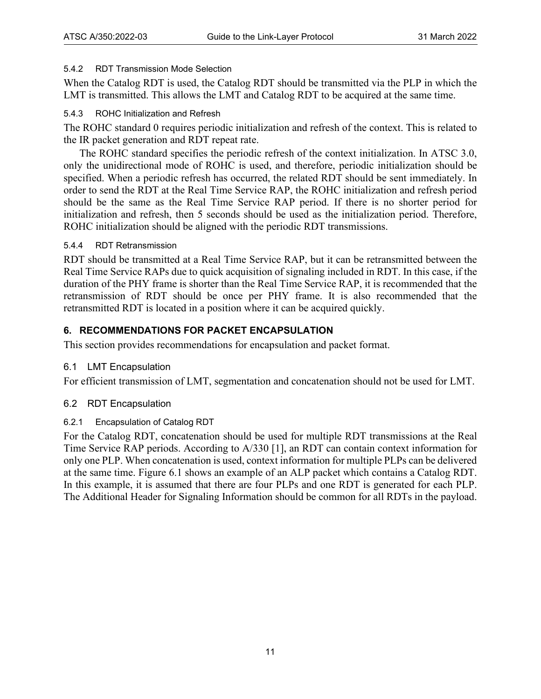#### <span id="page-14-0"></span>5.4.2 RDT Transmission Mode Selection

When the Catalog RDT is used, the Catalog RDT should be transmitted via the PLP in which the LMT is transmitted. This allows the LMT and Catalog RDT to be acquired at the same time.

#### <span id="page-14-1"></span>5.4.3 ROHC Initialization and Refresh

The ROHC standard [0](#page-20-3) requires periodic initialization and refresh of the context. This is related to the IR packet generation and RDT repeat rate.

The ROHC standard specifies the periodic refresh of the context initialization. In ATSC 3.0, only the unidirectional mode of ROHC is used, and therefore, periodic initialization should be specified. When a periodic refresh has occurred, the related RDT should be sent immediately. In order to send the RDT at the Real Time Service RAP, the ROHC initialization and refresh period should be the same as the Real Time Service RAP period. If there is no shorter period for initialization and refresh, then 5 seconds should be used as the initialization period. Therefore, ROHC initialization should be aligned with the periodic RDT transmissions.

#### <span id="page-14-2"></span>5.4.4 RDT Retransmission

RDT should be transmitted at a Real Time Service RAP, but it can be retransmitted between the Real Time Service RAPs due to quick acquisition of signaling included in RDT. In this case, if the duration of the PHY frame is shorter than the Real Time Service RAP, it is recommended that the retransmission of RDT should be once per PHY frame. It is also recommended that the retransmitted RDT is located in a position where it can be acquired quickly.

#### <span id="page-14-7"></span><span id="page-14-3"></span>**6. RECOMMENDATIONS FOR PACKET ENCAPSULATION**

This section provides recommendations for encapsulation and packet format.

#### <span id="page-14-4"></span>6.1 LMT Encapsulation

For efficient transmission of LMT, segmentation and concatenation should not be used for LMT.

#### <span id="page-14-5"></span>6.2 RDT Encapsulation

#### <span id="page-14-6"></span>6.2.1 Encapsulation of Catalog RDT

For the Catalog RDT, concatenation should be used for multiple RDT transmissions at the Real Time Service RAP periods. According to A/330 [\[1\],](#page-4-4) an RDT can contain context information for only one PLP. When concatenation is used, context information for multiple PLPs can be delivered at the same time. [Figure 6.1](#page-15-2) shows an example of an ALP packet which contains a Catalog RDT. In this example, it is assumed that there are four PLPs and one RDT is generated for each PLP. The Additional Header for Signaling Information should be common for all RDTs in the payload.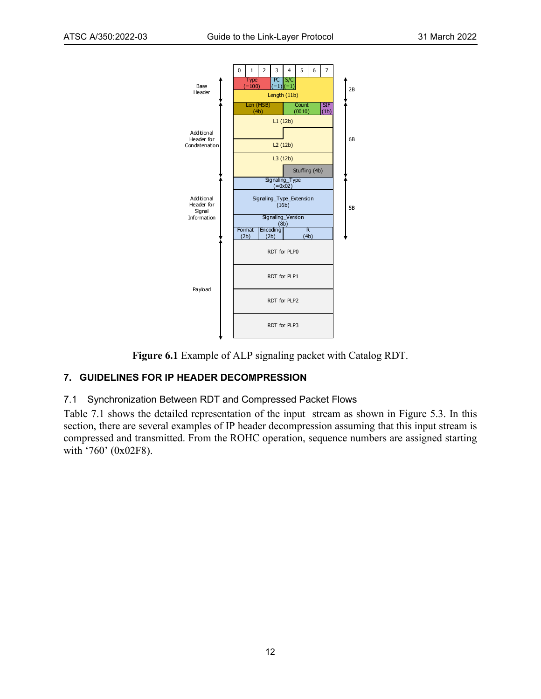



#### <span id="page-15-2"></span><span id="page-15-0"></span>**7. GUIDELINES FOR IP HEADER DECOMPRESSION**

#### <span id="page-15-1"></span>7.1 Synchronization Between RDT and Compressed Packet Flows

[Table 7.1](#page-16-1) shows the detailed representation of the input stream as shown in [Figure 5.3.](#page-13-2) In this section, there are several examples of IP header decompression assuming that this input stream is compressed and transmitted. From the ROHC operation, sequence numbers are assigned starting with '760' (0x02F8).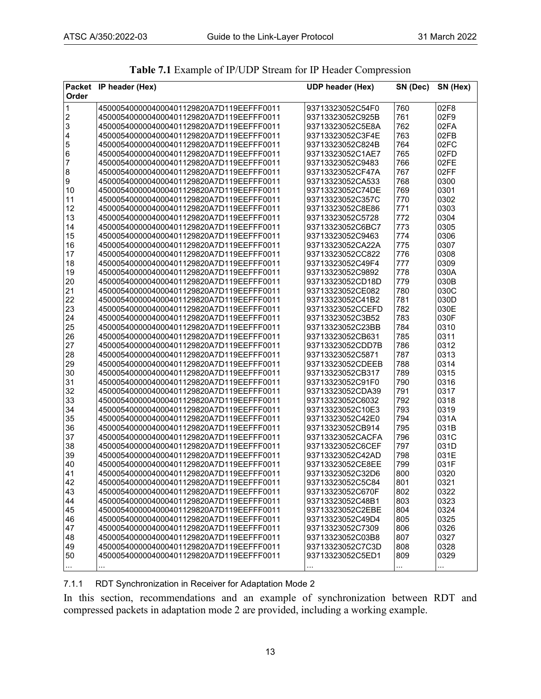<span id="page-16-1"></span>

| Order                   | Packet IP header (Hex)                   | <b>UDP header (Hex)</b> | SN (Dec) | SN (Hex) |
|-------------------------|------------------------------------------|-------------------------|----------|----------|
| 1                       | 4500054000004000401129820A7D119EEFFF0011 | 93713323052C54F0        | 760      | 02F8     |
| $\overline{\mathbf{c}}$ | 4500054000004000401129820A7D119EEFFF0011 | 93713323052C925B        | 761      | 02F9     |
| 3                       | 4500054000004000401129820A7D119EEFFF0011 | 93713323052C5E8A        | 762      | 02FA     |
| 4                       | 4500054000004000401129820A7D119EEFFF0011 | 93713323052C3F4E        | 763      | 02FB     |
|                         | 4500054000004000401129820A7D119EEFFF0011 | 93713323052C824B        | 764      | 02FC     |
| 5<br>6                  | 4500054000004000401129820A7D119EEFFF0011 | 93713323052C1AE7        | 765      | 02FD     |
| $\overline{7}$          | 4500054000004000401129820A7D119EEFFF0011 | 93713323052C9483        | 766      | 02FE     |
| 8                       | 4500054000004000401129820A7D119EEFFF0011 | 93713323052CF47A        | 767      | 02FF     |
| 9                       | 4500054000004000401129820A7D119EEFFF0011 | 93713323052CA533        | 768      | 0300     |
| 10                      | 4500054000004000401129820A7D119EEFFF0011 | 93713323052C74DE        | 769      | 0301     |
| 11                      | 4500054000004000401129820A7D119EEFFF0011 | 93713323052C357C        | 770      | 0302     |
| 12                      | 4500054000004000401129820A7D119EEFFF0011 | 93713323052C8E86        | 771      | 0303     |
| 13                      | 4500054000004000401129820A7D119EEFFF0011 | 93713323052C5728        | 772      | 0304     |
| 14                      | 4500054000004000401129820A7D119EEFFF0011 | 93713323052C6BC7        | 773      | 0305     |
| 15                      | 4500054000004000401129820A7D119EEFFF0011 | 93713323052C9463        | 774      | 0306     |
| 16                      |                                          |                         | 775      | 0307     |
|                         | 4500054000004000401129820A7D119EEFFF0011 | 93713323052CA22A        |          |          |
| 17                      | 4500054000004000401129820A7D119EEFFF0011 | 93713323052CC822        | 776      | 0308     |
| 18                      | 4500054000004000401129820A7D119EEFFF0011 | 93713323052C49F4        | 777      | 0309     |
| 19                      | 4500054000004000401129820A7D119EEFFF0011 | 93713323052C9892        | 778      | 030A     |
| 20                      | 4500054000004000401129820A7D119EEFFF0011 | 93713323052CD18D        | 779      | 030B     |
| 21                      | 4500054000004000401129820A7D119EEFFF0011 | 93713323052CE082        | 780      | 030C     |
| 22                      | 4500054000004000401129820A7D119EEFFF0011 | 93713323052C41B2        | 781      | 030D     |
| 23                      | 4500054000004000401129820A7D119EEFFF0011 | 93713323052CCEFD        | 782      | 030E     |
| 24                      | 4500054000004000401129820A7D119EEFFF0011 | 93713323052C3B52        | 783      | 030F     |
| 25                      | 4500054000004000401129820A7D119EEFFF0011 | 93713323052C23BB        | 784      | 0310     |
| 26                      | 4500054000004000401129820A7D119EEFFF0011 | 93713323052CB631        | 785      | 0311     |
| 27                      | 4500054000004000401129820A7D119EEFFF0011 | 93713323052CDD7B        | 786      | 0312     |
| 28                      | 4500054000004000401129820A7D119EEFFF0011 | 93713323052C5871        | 787      | 0313     |
| 29                      | 4500054000004000401129820A7D119EEFFF0011 | 93713323052CDEEB        | 788      | 0314     |
| 30                      | 4500054000004000401129820A7D119EEFFF0011 | 93713323052CB317        | 789      | 0315     |
| 31                      | 4500054000004000401129820A7D119EEFFF0011 | 93713323052C91F0        | 790      | 0316     |
| 32                      | 4500054000004000401129820A7D119EEFFF0011 | 93713323052CDA39        | 791      | 0317     |
| 33                      | 4500054000004000401129820A7D119EEFFF0011 | 93713323052C6032        | 792      | 0318     |
| 34                      | 4500054000004000401129820A7D119EEFFF0011 | 93713323052C10E3        | 793      | 0319     |
| 35                      | 4500054000004000401129820A7D119EEFFF0011 | 93713323052C42E0        | 794      | 031A     |
| 36                      | 4500054000004000401129820A7D119EEFFF0011 | 93713323052CB914        | 795      | 031B     |
| 37                      | 4500054000004000401129820A7D119EEFFF0011 | 93713323052CACFA        | 796      | 031C     |
| 38                      | 4500054000004000401129820A7D119EEFFF0011 | 93713323052C6CEF        | 797      | 031D     |
| 39                      | 4500054000004000401129820A7D119EEFFF0011 | 93713323052C42AD        | 798      | 031E     |
| 40                      | 4500054000004000401129820A7D119EEFFF0011 | 93713323052CE8EE        | 799      | 031F     |
| 41                      | 4500054000004000401129820A7D119EEFFF0011 | 93713323052C32D6        | 800      | 0320     |
| 42                      | 4500054000004000401129820A7D119EEFFF0011 | 93713323052C5C84        | 801      | 0321     |
| 43                      | 4500054000004000401129820A7D119EEFFF0011 | 93713323052C670F        | 802      | 0322     |
| 44                      | 4500054000004000401129820A7D119EEFFF0011 | 93713323052C48B1        | 803      | 0323     |
| 45                      | 4500054000004000401129820A7D119EEFFF0011 | 93713323052C2EBE        | 804      | 0324     |
| 46                      | 4500054000004000401129820A7D119EEFFF0011 | 93713323052C49D4        | 805      | 0325     |
| 47                      | 4500054000004000401129820A7D119EEFFF0011 | 93713323052C7309        | 806      | 0326     |
| 48                      | 4500054000004000401129820A7D119EEFFF0011 | 93713323052C03B8        | 807      | 0327     |
| 49                      | 4500054000004000401129820A7D119EEFFF0011 | 93713323052C7C3D        | 808      | 0328     |
| 50                      | 4500054000004000401129820A7D119EEFFF0011 | 93713323052C5ED1        | 809      | 0329     |
|                         |                                          |                         |          |          |
|                         |                                          |                         |          |          |

**Table 7.1** Example of IP/UDP Stream for IP Header Compression

<span id="page-16-0"></span>7.1.1 RDT Synchronization in Receiver for Adaptation Mode 2

In this section, recommendations and an example of synchronization between RDT and compressed packets in adaptation mode 2 are provided, including a working example.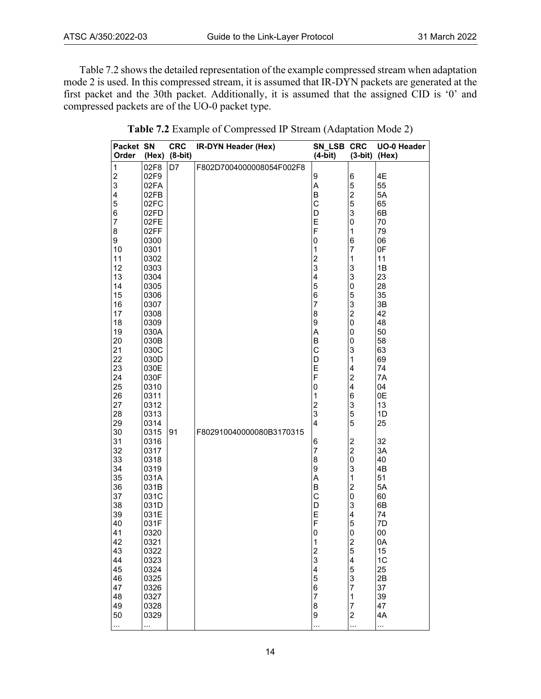<span id="page-17-0"></span>[Table 7.2 s](#page-17-0)hows the detailed representation of the example compressed stream when adaptation mode 2 is used. In this compressed stream, it is assumed that IR-DYN packets are generated at the first packet and the 30th packet. Additionally, it is assumed that the assigned CID is '0' and compressed packets are of the UO-0 packet type.

| Packet SN<br>Order                                                                                                                                                                                                                                                                                                      | (Hex)                                                                                                                                                                                                                                                                                                                                                                                                        | <b>CRC</b><br>$(8-bit)$ | <b>IR-DYN Header (Hex)</b>                           | SN_LSB CRC<br>$(4-bit)$                                                                                                                                                                                                                                                                                                                                          | $(3-bit)$ (Hex)                                                                                                                                                                                                                                                                                                                                                                                                  | <b>UO-0 Header</b>                                                                                                                                                                                                                                                                               |
|-------------------------------------------------------------------------------------------------------------------------------------------------------------------------------------------------------------------------------------------------------------------------------------------------------------------------|--------------------------------------------------------------------------------------------------------------------------------------------------------------------------------------------------------------------------------------------------------------------------------------------------------------------------------------------------------------------------------------------------------------|-------------------------|------------------------------------------------------|------------------------------------------------------------------------------------------------------------------------------------------------------------------------------------------------------------------------------------------------------------------------------------------------------------------------------------------------------------------|------------------------------------------------------------------------------------------------------------------------------------------------------------------------------------------------------------------------------------------------------------------------------------------------------------------------------------------------------------------------------------------------------------------|--------------------------------------------------------------------------------------------------------------------------------------------------------------------------------------------------------------------------------------------------------------------------------------------------|
| $\mathbf{1}$<br>2<br>3<br>4<br>5<br>6<br>$\overline{7}$<br>8<br>9<br>10<br>11<br>12<br>13<br>14<br>15<br>16<br>17<br>18<br>19<br>20<br>21<br>22<br>23<br>24<br>25<br>26<br>27<br>28<br>29<br>30<br>31<br>32<br>33<br>34<br>35<br>36<br>37<br>38<br>39<br>40<br>41<br>42<br>43<br>44<br>45<br>46<br>47<br>48<br>49<br>50 | 02F8<br>02F9<br>02FA<br>02FB<br>02FC<br>02FD<br>02FE<br>02FF<br>0300<br>0301<br>0302<br>0303<br>0304<br>0305<br>0306<br>0307<br>0308<br>0309<br>030A<br>030B<br>030C<br>030D<br>030E<br>030F<br>0310<br>0311<br>0312<br>0313<br>0314<br>0315<br>0316<br>0317<br>0318<br>0319<br>031A<br>031B<br>031C<br>031D<br>031E<br>031F<br>0320<br>0321<br>0322<br>0323<br>0324<br>0325<br>0326<br>0327<br>0328<br>0329 | D7<br>91                | F802D7004000008054F002F8<br>F802910040000080B3170315 | 9<br>A<br>B<br>C<br>D<br>E<br>F<br>0<br>1<br>$\overline{c}$<br>3<br>4<br>5<br>6<br>$\overline{7}$<br>8<br>9<br>A<br>B<br>C<br>D<br>E<br>F<br>$\mathbf 0$<br>$\mathbf{1}$<br>$\overline{c}$<br>3<br>$\overline{\mathbf{A}}$<br>6<br>$\overline{7}$<br>8<br>9<br>Α<br>B<br>C<br>D<br>E<br>F<br>$\pmb{0}$<br>1<br>$\overline{c}$<br>3<br>4<br>5<br>6<br>7<br>8<br>9 | 6<br>5<br>$\overline{c}$<br>5<br>3<br>0<br>1<br>6<br>7<br>1<br>3<br>3<br>0<br>5<br>3<br>$\overline{c}$<br>0<br>0<br>0<br>3<br>$\mathbf{1}$<br>4<br>$\overline{\mathbf{c}}$<br>$\overline{\mathbf{4}}$<br>6<br>3<br>5<br>5<br>$\frac{2}{2}$<br>0<br>3<br>1<br>$\overline{\mathbf{c}}$<br>0<br>3<br>4<br>5<br>$\mathbf 0$<br>$\overline{\mathbf{c}}$<br>5<br>4<br>5<br>3<br>7<br>1<br>7<br>$\overline{\mathbf{c}}$ | 4E<br>55<br>5A<br>65<br>6B<br>70<br>79<br>06<br>0F<br>11<br>1B<br>23<br>28<br>35<br>3B<br>42<br>48<br>50<br>58<br>63<br>69<br>74<br>7A<br>04<br>0E<br>13<br>1D<br>25<br>32<br>3A<br>40<br>4B<br>51<br>5A<br>60<br>6B<br>74<br>7D<br>00<br>0A<br>15<br>1C<br>25<br>2B<br>37<br>39<br>47<br>4A<br> |

|  | Table 7.2 Example of Compressed IP Stream (Adaptation Mode 2) |  |  |
|--|---------------------------------------------------------------|--|--|
|  |                                                               |  |  |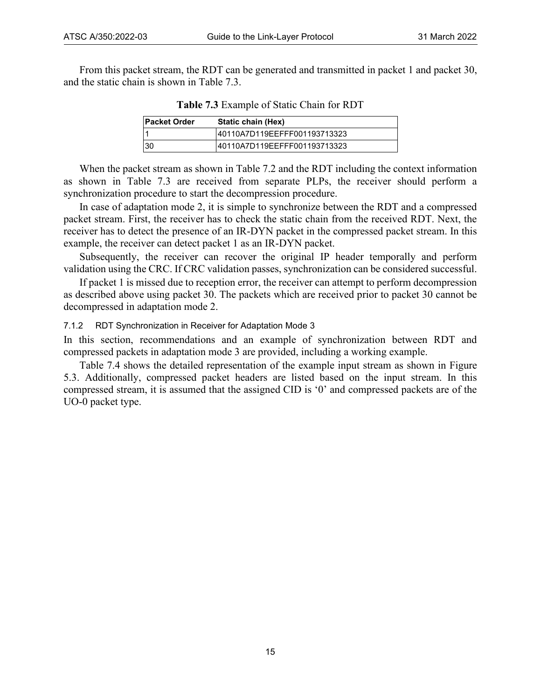<span id="page-18-1"></span>From this packet stream, the RDT can be generated and transmitted in packet 1 and packet 30, and the static chain is shown in [Table 7.3.](#page-18-1)

| Static chain (Hex)<br>⊺Packet Order |                              |  |  |  |  |  |
|-------------------------------------|------------------------------|--|--|--|--|--|
|                                     | 40110A7D119EEFFF001193713323 |  |  |  |  |  |
| 30                                  | 40110A7D119EEFFF001193713323 |  |  |  |  |  |

**Table 7.3** Example of Static Chain for RDT

When the packet stream as shown in [Table 7.2](#page-17-0) and the RDT including the context information as shown in [Table 7.3](#page-18-1) are received from separate PLPs, the receiver should perform a synchronization procedure to start the decompression procedure.

In case of adaptation mode 2, it is simple to synchronize between the RDT and a compressed packet stream. First, the receiver has to check the static chain from the received RDT. Next, the receiver has to detect the presence of an IR-DYN packet in the compressed packet stream. In this example, the receiver can detect packet 1 as an IR-DYN packet.

Subsequently, the receiver can recover the original IP header temporally and perform validation using the CRC. If CRC validation passes, synchronization can be considered successful.

If packet 1 is missed due to reception error, the receiver can attempt to perform decompression as described above using packet 30. The packets which are received prior to packet 30 cannot be decompressed in adaptation mode 2.

#### <span id="page-18-0"></span>7.1.2 RDT Synchronization in Receiver for Adaptation Mode 3

In this section, recommendations and an example of synchronization between RDT and compressed packets in adaptation mode 3 are provided, including a working example.

[Table 7.4](#page-19-0) shows the detailed representation of the example input stream as shown in [Figure](#page-13-2)  [5.3.](#page-13-2) Additionally, compressed packet headers are listed based on the input stream. In this compressed stream, it is assumed that the assigned CID is '0' and compressed packets are of the UO-0 packet type.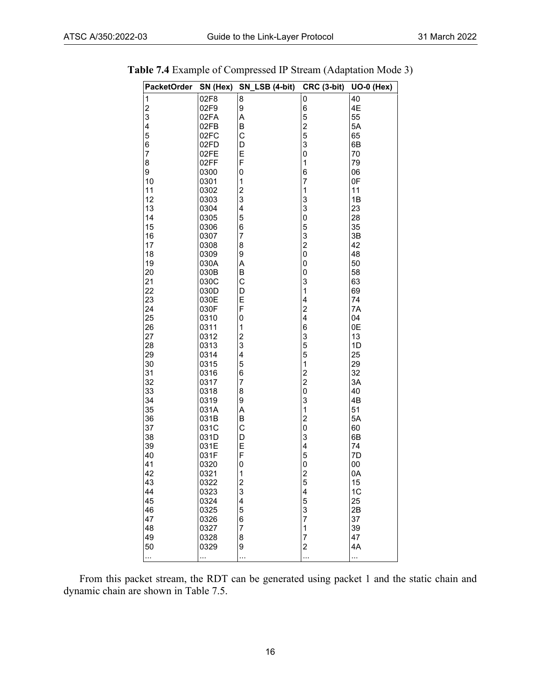| <b>PacketOrder</b>      | SN (Hex) | SN_LSB (4-bit)          | CRC (3-bit)             | <b>UO-0 (Hex)</b> |
|-------------------------|----------|-------------------------|-------------------------|-------------------|
| $\mathbf{1}$            | 02F8     | 8                       | 0                       | 40                |
| $\overline{\mathbf{c}}$ | 02F9     | 9                       | 6                       | 4E                |
| 3                       | 02FA     | Α                       | 5                       | 55                |
| 4                       | 02FB     | В                       | $\overline{c}$          | 5A                |
|                         |          |                         |                         |                   |
| 5                       | 02FC     | C                       | 5                       | 65                |
| 6                       | 02FD     | D                       | 3                       | 6B                |
| $\overline{7}$          | 02FE     | Ε                       | 0                       | 70                |
| 8                       | 02FF     | F                       | 1                       | 79                |
| 9                       | 0300     | 0                       | 6                       | 06                |
| 10                      | 0301     | 1                       | 7                       | 0F                |
| 11                      | 0302     | $\overline{c}$          | $\mathbf 1$             | 11                |
| 12                      | 0303     | 3                       | 3                       | 1B                |
| 13                      | 0304     | 4                       | 3                       | 23                |
| 14                      | 0305     | 5                       | 0                       | 28                |
| 15                      | 0306     | 6                       | 5                       | 35                |
| 16                      | 0307     | 7                       | 3                       | 3B                |
|                         |          |                         |                         |                   |
| 17                      | 0308     | 8                       | $\overline{c}$          | 42                |
| 18                      | 0309     | 9                       | 0                       | 48                |
| 19                      | 030A     | Α                       | 0                       | 50                |
| 20                      | 030B     | B                       | 0                       | 58                |
| 21                      | 030C     | C                       | 3                       | 63                |
| 22                      | 030D     | D                       | 1                       | 69                |
| 23                      | 030E     | Ε                       | 4                       | 74                |
| 24                      | 030F     | F                       | $\overline{\mathbf{c}}$ | 7A                |
| 25                      | 0310     | 0                       | 4                       | 04                |
| 26                      | 0311     | $\mathbf 1$             | 6                       | 0E                |
| 27                      | 0312     | $\overline{\mathbf{c}}$ | 3                       | 13                |
| 28                      | 0313     | 3                       | 5                       | 1D                |
| 29                      | 0314     | 4                       | 5                       | 25                |
| 30                      | 0315     | 5                       | $\mathbf 1$             | 29                |
| 31                      | 0316     | 6                       | $\overline{c}$          | 32                |
| 32                      | 0317     | 7                       | $\overline{c}$          | 3A                |
| 33                      | 0318     | 8                       | 0                       | 40                |
| 34                      | 0319     | 9                       | 3                       | 4B                |
| 35                      |          |                         | 1                       | 51                |
|                         | 031A     | Α                       |                         |                   |
| 36                      | 031B     | В                       | 2                       | 5A                |
| 37                      | 031C     | C                       | 0                       | 60                |
| 38                      | 031D     | D                       | 3                       | 6B                |
| 39                      | 031E     | E                       | 4                       | 74                |
| 40                      | 031F     | F                       | 5                       | 7D                |
| 41                      | 0320     | 0                       | 0                       | 00                |
| 42                      | 0321     | 1                       | $\overline{2}$          | 0A                |
| 43                      | 0322     | $\overline{\mathbf{c}}$ | 5                       | 15                |
| 44                      | 0323     | 3                       | 4                       | 1 <sup>C</sup>    |
| 45                      | 0324     | 4                       | 5                       | 25                |
| 46                      | 0325     | 5                       | 3                       | 2B                |
| 47                      | 0326     | 6                       | 7                       | 37                |
| 48                      | 0327     | 7                       | 1                       | 39                |
| 49                      | 0328     | 8                       | 7                       | 47                |
| 50                      | 0329     | 9                       | 2                       | 4A                |
|                         |          |                         |                         |                   |

<span id="page-19-0"></span>**Table 7.4** Example of Compressed IP Stream (Adaptation Mode 3)

From this packet stream, the RDT can be generated using packet 1 and the static chain and dynamic chain are shown in [Table 7.5.](#page-20-1)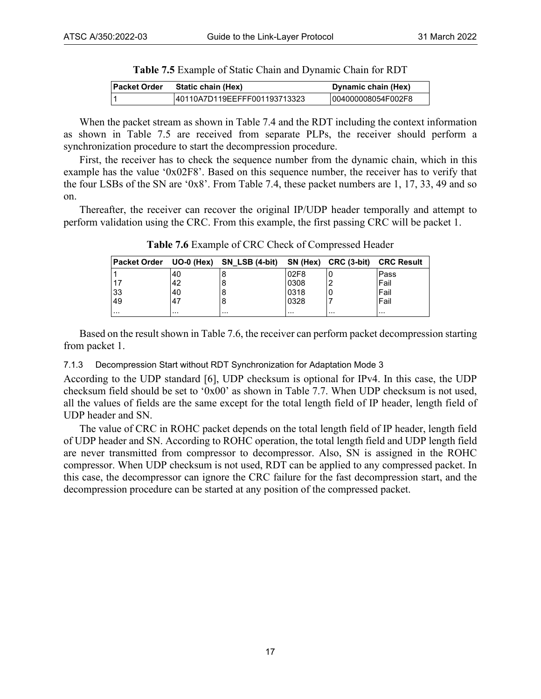|  | Table 7.5 Example of Static Chain and Dynamic Chain for RDT |  |  |  |  |  |
|--|-------------------------------------------------------------|--|--|--|--|--|
|  |                                                             |  |  |  |  |  |

<span id="page-20-1"></span>

| ∣Packet Order | Static chain (Hex)           | Dynamic chain (Hex) |
|---------------|------------------------------|---------------------|
|               | 40110A7D119EEFFF001193713323 | 004000008054F002F8  |

When the packet stream as shown in [Table 7.4](#page-19-0) and the RDT including the context information as shown in [Table 7.5](#page-20-1) are received from separate PLPs, the receiver should perform a synchronization procedure to start the decompression procedure.

First, the receiver has to check the sequence number from the dynamic chain, which in this example has the value '0x02F8'. Based on this sequence number, the receiver has to verify that the four LSBs of the SN are '0x8'. From [Table 7.4,](#page-19-0) these packet numbers are 1, 17, 33, 49 and so on.

<span id="page-20-2"></span>Thereafter, the receiver can recover the original IP/UDP header temporally and attempt to perform validation using the CRC. From this example, the first passing CRC will be packet 1.

|          |          | Packet Order UO-0 (Hex) SN LSB (4-bit) SN (Hex) CRC (3-bit) CRC Result |          |          |          |
|----------|----------|------------------------------------------------------------------------|----------|----------|----------|
|          | 40       |                                                                        | 02F8     |          | Pass     |
|          | 42       |                                                                        | 0308     |          | Fail     |
| 33       | 40       |                                                                        | 0318     |          | Fail     |
| 49       |          |                                                                        | 0328     |          | Fail     |
| $\cdots$ | $\cdots$ | $\cdots$                                                               | $\cdots$ | $\cdots$ | $\cdots$ |

**Table 7.6** Example of CRC Check of Compressed Header

Based on the result shown i[n Table 7.6,](#page-20-2) the receiver can perform packet decompression starting from packet 1.

<span id="page-20-0"></span>7.1.3 Decompression Start without RDT Synchronization for Adaptation Mode 3

<span id="page-20-3"></span>According to the UDP standard [\[6\],](#page-4-7) UDP checksum is optional for IPv4. In this case, the UDP checksum field should be set to '0x00' as shown in [Table 7.7.](#page-21-0) When UDP checksum is not used, all the values of fields are the same except for the total length field of IP header, length field of UDP header and SN.

The value of CRC in ROHC packet depends on the total length field of IP header, length field of UDP header and SN. According to ROHC operation, the total length field and UDP length field are never transmitted from compressor to decompressor. Also, SN is assigned in the ROHC compressor. When UDP checksum is not used, RDT can be applied to any compressed packet. In this case, the decompressor can ignore the CRC failure for the fast decompression start, and the decompression procedure can be started at any position of the compressed packet.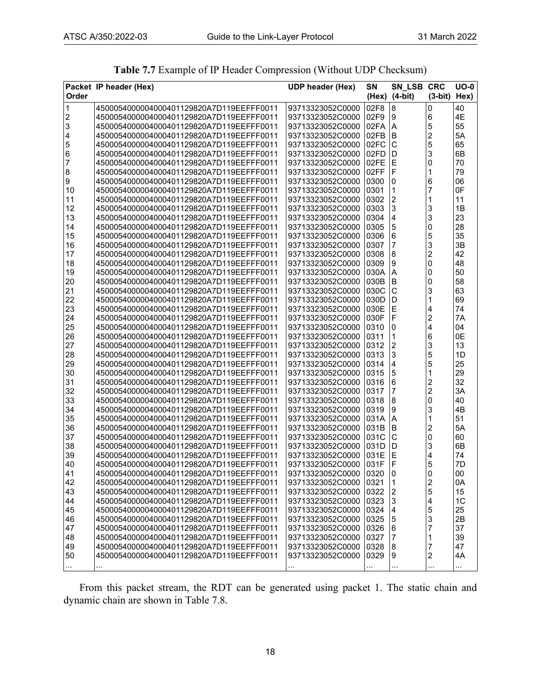<span id="page-21-0"></span>

| Order                   | Packet IP header (Hex)                   | UDP header (Hex) | <b>SN</b><br>(Hex) | SN LSB CRC<br>$(4-bit)$ | $(3-bit)$               | $UO-0$<br>Hex) |
|-------------------------|------------------------------------------|------------------|--------------------|-------------------------|-------------------------|----------------|
| 1                       | 4500054000004000401129820A7D119EEFFF0011 | 93713323052C0000 | 02F8               | 8                       | 0                       | 40             |
| $\overline{\mathbf{c}}$ | 4500054000004000401129820A7D119EEFFF0011 | 93713323052C0000 | 02F9               | 9                       | 6                       | 4E             |
| 3                       | 4500054000004000401129820A7D119EEFFF0011 | 93713323052C0000 | 02FA               | $\overline{A}$          | 5                       | 55             |
| 4                       | 4500054000004000401129820A7D119EEFFF0011 | 93713323052C0000 | 02FB               | $\sf B$                 | $\overline{\mathbf{c}}$ | 5A             |
| 5                       | 4500054000004000401129820A7D119EEFFF0011 | 93713323052C0000 | 02FC               | C                       | 5                       | 65             |
| 6                       | 4500054000004000401129820A7D119EEFFF0011 | 93713323052C0000 | 02FD               | D                       | 3                       | 6B             |
| 7                       | 4500054000004000401129820A7D119EEFFF0011 | 93713323052C0000 | 02FE               | E                       | $\pmb{0}$               | 70             |
| 8                       | 4500054000004000401129820A7D119EEFFF0011 | 93713323052C0000 | 02FF               | F                       | 1                       | 79             |
| 9                       | 4500054000004000401129820A7D119EEFFF0011 | 93713323052C0000 | 0300               | 0                       | 6                       | 06             |
| 10                      | 4500054000004000401129820A7D119EEFFF0011 | 93713323052C0000 | 0301               | $\mathbf{1}$            | 7                       | 0F             |
| 11                      | 4500054000004000401129820A7D119EEFFF0011 | 93713323052C0000 | 0302               | $\overline{\mathbf{c}}$ | 1                       | 11             |
| 12                      | 4500054000004000401129820A7D119EEFFF0011 | 93713323052C0000 | 0303               | 3                       | 3                       | 1B             |
| 13                      | 4500054000004000401129820A7D119EEFFF0011 | 93713323052C0000 | 0304               | 4                       | 3                       | 23             |
| 14                      | 4500054000004000401129820A7D119EEFFF0011 | 93713323052C0000 | 0305               | 5                       | $\pmb{0}$               | 28             |
|                         |                                          |                  |                    | 6                       |                         | 35             |
| 15                      | 4500054000004000401129820A7D119EEFFF0011 | 93713323052C0000 | 0306               |                         | 5                       |                |
| 16                      | 4500054000004000401129820A7D119EEFFF0011 | 93713323052C0000 | 0307               | 7                       | 3                       | 3B             |
| 17                      | 4500054000004000401129820A7D119EEFFF0011 | 93713323052C0000 | 0308               | 8                       | $\overline{c}$          | 42             |
| 18                      | 4500054000004000401129820A7D119EEFFF0011 | 93713323052C0000 | 0309               | $\boldsymbol{9}$        | $\boldsymbol{0}$        | 48             |
| 19                      | 4500054000004000401129820A7D119EEFFF0011 | 93713323052C0000 | 030A               | Α                       | 0                       | 50             |
| 20                      | 4500054000004000401129820A7D119EEFFF0011 | 93713323052C0000 | 030B               | $\mathsf B$             | 0                       | 58             |
| 21                      | 4500054000004000401129820A7D119EEFFF0011 | 93713323052C0000 | 030C               | $\mathsf{C}$            | 3                       | 63             |
| 22                      | 4500054000004000401129820A7D119EEFFF0011 | 93713323052C0000 | 030D               | D                       | $\mathbf{1}$            | 69             |
| 23                      | 4500054000004000401129820A7D119EEFFF0011 | 93713323052C0000 | 030E               | E                       | 4                       | 74             |
| 24                      | 4500054000004000401129820A7D119EEFFF0011 | 93713323052C0000 | 030F               | F                       | $\overline{\mathbf{c}}$ | 7A             |
| 25                      | 4500054000004000401129820A7D119EEFFF0011 | 93713323052C0000 | 0310               | $\mathbf 0$             | $\overline{4}$          | 04             |
| 26                      | 4500054000004000401129820A7D119EEFFF0011 | 93713323052C0000 | 0311               | 1                       | 6                       | 0E             |
| 27                      | 4500054000004000401129820A7D119EEFFF0011 | 93713323052C0000 | 0312               | 2                       | 3                       | 13             |
| 28                      | 4500054000004000401129820A7D119EEFFF0011 | 93713323052C0000 | 0313               | 3                       | 5                       | 1D             |
| 29                      | 4500054000004000401129820A7D119EEFFF0011 | 93713323052C0000 | 0314               | $\overline{\mathbf{4}}$ | 5                       | 25             |
| 30                      | 4500054000004000401129820A7D119EEFFF0011 | 93713323052C0000 | 0315               | 5                       | 1                       | 29             |
| 31                      | 4500054000004000401129820A7D119EEFFF0011 | 93713323052C0000 | 0316               | 6                       | $\overline{c}$          | 32             |
| 32                      | 4500054000004000401129820A7D119EEFFF0011 | 93713323052C0000 | 0317               | $\overline{7}$          | $\overline{c}$          | 3A             |
| 33                      | 4500054000004000401129820A7D119EEFFF0011 | 93713323052C0000 | 0318               | 8                       | 0                       | 40             |
| 34                      | 4500054000004000401129820A7D119EEFFF0011 | 93713323052C0000 | 0319               | $\boldsymbol{9}$        | 3                       | 4B             |
| 35                      | 4500054000004000401129820A7D119EEFFF0011 | 93713323052C0000 | 031A               | Α                       | 1                       | 51             |
| 36                      | 4500054000004000401129820A7D119EEFFF0011 | 93713323052C0000 | 031B               | $\sf B$                 | $\overline{c}$          | 5A             |
| 37                      | 4500054000004000401129820A7D119EEFFF0011 | 93713323052C0000 | 031C               | C                       | $\pmb{0}$               | 60             |
| 38                      | 4500054000004000401129820A7D119EEFFF0011 | 93713323052C0000 | 031D               | D                       | 3                       | 6B             |
| 39                      | 4500054000004000401129820A7D119EEFFF0011 | 93713323052C0000 | 031E               | E                       | 4                       | 74             |
| 40                      | 4500054000004000401129820A7D119EEFFF0011 | 93713323052C0000 | 031F               | $\mathsf F$             | 5                       | 7D             |
| 41                      | 4500054000004000401129820A7D119EEFFF0011 | 93713323052C0000 | 0320               | $\Omega$                | $\Omega$                | $00\,$         |
| 42                      | 4500054000004000401129820A7D119EEFFF0011 | 93713323052C0000 | 0321               | 1                       | $\overline{c}$          | 0A             |
| 43                      | 4500054000004000401129820A7D119EEFFF0011 | 93713323052C0000 | 0322               | $\overline{\mathbf{c}}$ | 5                       | 15             |
| 44                      | 4500054000004000401129820A7D119EEFFF0011 | 93713323052C0000 | 0323               | 3                       | 4                       | 1 <sup>C</sup> |
| 45                      | 4500054000004000401129820A7D119EEFFF0011 | 93713323052C0000 | 0324               | 4                       | 5                       | 25             |
| 46                      | 4500054000004000401129820A7D119EEFFF0011 | 93713323052C0000 | 0325               | 5                       | 3                       | 2B             |
| 47                      | 4500054000004000401129820A7D119EEFFF0011 | 93713323052C0000 | 0326               | 6                       | 7                       | 37             |
| 48                      | 4500054000004000401129820A7D119EEFFF0011 | 93713323052C0000 | 0327               | 7                       | 1                       | 39             |
| 49                      | 4500054000004000401129820A7D119EEFFF0011 | 93713323052C0000 | 0328               | 8                       | 7                       | 47             |
| 50                      | 4500054000004000401129820A7D119EEFFF0011 | 93713323052C0000 | 0329               | 9                       | $\boldsymbol{2}$        | 4A             |
|                         |                                          |                  |                    |                         |                         |                |
| $\ddotsc$               |                                          |                  |                    |                         |                         |                |

|  |  | <b>Table 7.7</b> Example of IP Header Compression (Without UDP Checksum) |  |
|--|--|--------------------------------------------------------------------------|--|
|  |  |                                                                          |  |

From this packet stream, the RDT can be generated using packet 1. The static chain and dynamic chain are shown in [Table 7.8.](#page-22-2)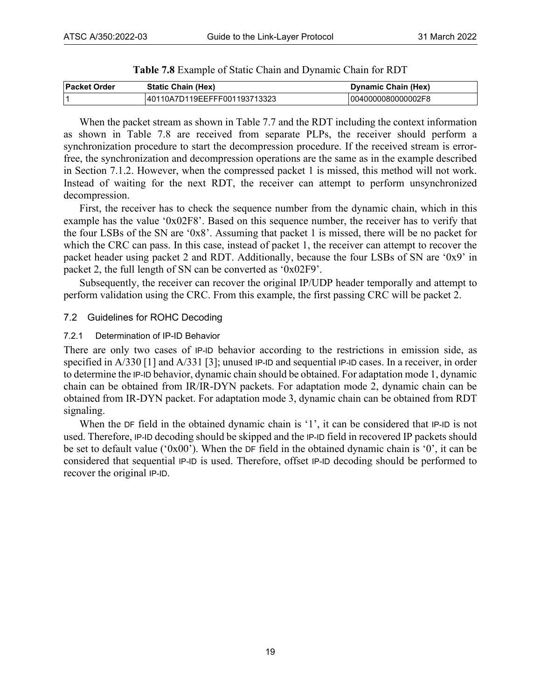<span id="page-22-2"></span>

|                     | <b>Table 7.0</b> Example of Static Chain and Dynamic Chain for KDT |                            |  |  |  |  |  |  |  |
|---------------------|--------------------------------------------------------------------|----------------------------|--|--|--|--|--|--|--|
| <b>Packet Order</b> | <b>Static Chain (Hex)</b>                                          | <b>Dynamic Chain (Hex)</b> |  |  |  |  |  |  |  |
|                     | 40110A7D119EEFFF001193713323                                       | 0040000080000002F8         |  |  |  |  |  |  |  |

**Table 7.8** Example of Static Chain and Dynamic Chain for RDT

When the packet stream as shown in [Table 7.7](#page-21-0) and the RDT including the context information as shown in [Table 7.8](#page-22-2) are received from separate PLPs, the receiver should perform a synchronization procedure to start the decompression procedure. If the received stream is errorfree, the synchronization and decompression operations are the same as in the example described in Section [7.1.2.](#page-18-0) However, when the compressed packet 1 is missed, this method will not work. Instead of waiting for the next RDT, the receiver can attempt to perform unsynchronized decompression.

First, the receiver has to check the sequence number from the dynamic chain, which in this example has the value '0x02F8'. Based on this sequence number, the receiver has to verify that the four LSBs of the SN are '0x8'. Assuming that packet 1 is missed, there will be no packet for which the CRC can pass. In this case, instead of packet 1, the receiver can attempt to recover the packet header using packet 2 and RDT. Additionally, because the four LSBs of SN are '0x9' in packet 2, the full length of SN can be converted as '0x02F9'.

Subsequently, the receiver can recover the original IP/UDP header temporally and attempt to perform validation using the CRC. From this example, the first passing CRC will be packet 2.

#### <span id="page-22-0"></span>7.2 Guidelines for ROHC Decoding

#### <span id="page-22-1"></span>7.2.1 Determination of IP-ID Behavior

There are only two cases of IP-ID behavior according to the restrictions in emission side, as specified in A/330 [\[1\]](#page-4-4) and A/331 [\[3\];](#page-4-6) unused IP-ID and sequential IP-ID cases. In a receiver, in order to determine the IP-ID behavior, dynamic chain should be obtained. For adaptation mode 1, dynamic chain can be obtained from IR/IR-DYN packets. For adaptation mode 2, dynamic chain can be obtained from IR-DYN packet. For adaptation mode 3, dynamic chain can be obtained from RDT signaling.

When the DF field in the obtained dynamic chain is '1', it can be considered that IP-ID is not used. Therefore, IP-ID decoding should be skipped and the IP-ID field in recovered IP packets should be set to default value (' $0x00$ '). When the DF field in the obtained dynamic chain is '0', it can be considered that sequential IP-ID is used. Therefore, offset IP-ID decoding should be performed to recover the original IP-ID.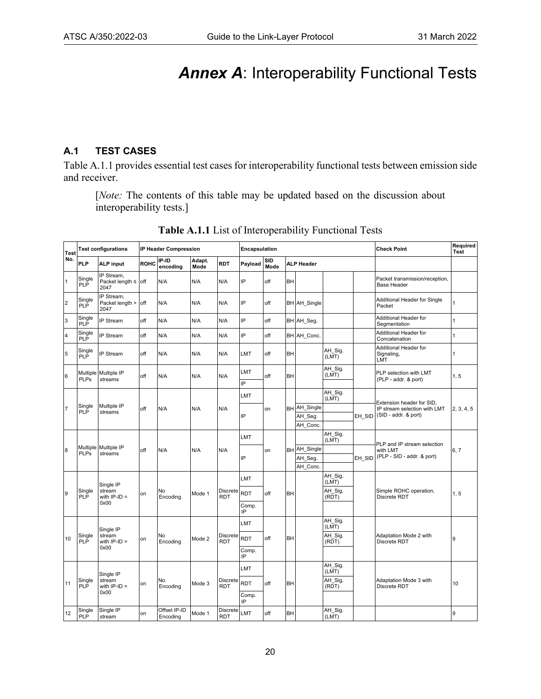## *Annex A*: Interoperability Functional Tests

#### <span id="page-23-1"></span><span id="page-23-0"></span>**A.1 TEST CASES**

[Table A.1.1 p](#page-23-2)rovides essential test cases for interoperability functional tests between emission side and receiver.

[*Note:* The contents of this table may be updated based on the discussion about interoperability tests.]

<span id="page-23-2"></span>

| Test                    |                      | <b>Test configurations</b>                     | <b>IP Header Compression</b><br>Encapsulation |                          |                |                               |             |             |           | <b>Check Point</b>  | Required<br><b>Test</b> |                  |                                                      |                           |  |
|-------------------------|----------------------|------------------------------------------------|-----------------------------------------------|--------------------------|----------------|-------------------------------|-------------|-------------|-----------|---------------------|-------------------------|------------------|------------------------------------------------------|---------------------------|--|
| No.                     | <b>PLP</b>           | <b>ALP input</b>                               | <b>ROHC</b>                                   | IP-ID<br>encoding        | Adapt.<br>Mode | <b>RDT</b>                    | Payload     | SID<br>Mode |           | <b>ALP Header</b>   |                         |                  |                                                      |                           |  |
| 1                       | Single<br>PLP        | IP Stream.<br>Packet length $\leq$ off<br>2047 |                                               | N/A                      | N/A            | N/A                           | IP          | off         | BH        |                     |                         |                  | Packet transmission/reception,<br><b>Base Header</b> |                           |  |
| $\overline{2}$          | Single<br><b>PLP</b> | IP Stream.<br>Packet length $>$ off<br>2047    |                                               | N/A                      | N/A            | N/A                           | IP          | off         |           | BH AH_Single        |                         |                  | Additional Header for Single<br>Packet               | 1                         |  |
| 3                       | Single<br>PLP        | IP Stream                                      | off                                           | N/A                      | N/A            | N/A                           | IP          | off         |           | BH AH Seg.          |                         |                  | Additional Header for<br>Segmentation                | $\mathbf{1}$              |  |
| $\overline{\mathbf{4}}$ | Single<br>PLP        | IP Stream                                      | off                                           | N/A                      | N/A            | N/A                           | IP          | off         |           | BH AH Conc.         |                         |                  | Additional Header for<br>Concatenation               | $\mathbf{1}$              |  |
| 5                       | Single<br>PLP        | IP Stream                                      | off                                           | N/A                      | N/A            | N/A                           | LMT         | off         | BH        |                     | AH Sig.<br>(LMT)        |                  | Additional Header for<br>Signaling,<br>LMT           | $\mathbf{1}$              |  |
| 6                       | <b>PLPs</b>          | Multiple Multiple IP<br>streams                | off                                           | N/A                      | N/A            | N/A                           | LMT<br>IP   | off         | BH        |                     | AH_Sig.<br>(LMT)        |                  | PLP selection with LMT<br>(PLP - addr. & port)       | 1, 5                      |  |
|                         |                      | Multiple IP<br>streams                         |                                               |                          |                |                               |             | LMT         |           |                     |                         | AH Sig.<br>(LMT) |                                                      | Extension header for SID. |  |
| $\overline{7}$          | Single<br><b>PLP</b> |                                                | off                                           | N/A                      | N/A            | N/A                           | IP          | on          | <b>BH</b> | AH_Single           |                         |                  | IP stream selection with LMT                         | 2, 3, 4, 5                |  |
|                         |                      |                                                |                                               |                          |                |                               |             |             |           | AH Seg.             |                         | EH SID           | (SID - addr. & port)                                 |                           |  |
|                         |                      |                                                |                                               |                          |                |                               |             |             |           | AH Conc.            |                         |                  |                                                      |                           |  |
|                         |                      |                                                |                                               |                          |                |                               | LMT         |             |           |                     | AH Sig.<br>(LMT)        |                  | PLP and IP stream selection                          |                           |  |
| 8                       | <b>PLPs</b>          | Multiple Multiple IP<br>streams                | off                                           | N/A                      | N/A            | N/A                           |             | on          |           | BH AH_Single        |                         |                  | with LMT<br>(PLP - SID - addr. & port)               | 6.7                       |  |
|                         |                      |                                                |                                               |                          |                |                               | IP          |             |           | AH Seg.<br>AH Conc. |                         | EH SID           |                                                      |                           |  |
|                         |                      | Single IP                                      |                                               |                          |                |                               | LMT         |             |           |                     | AH Sig.<br>(LMT)        |                  |                                                      |                           |  |
| 9                       | Single<br>PLP        | stream<br>with $IP$ -ID =                      | on                                            | No<br>Encoding           | Mode 1         | <b>Discrete</b><br><b>RDT</b> | <b>RDT</b>  | off         | BH        |                     | AH Sig.<br>(RDT)        |                  | Simple ROHC operation,<br>Discrete RDT               | 1, 5                      |  |
|                         |                      | 0x00                                           |                                               |                          |                |                               | Comp.<br>IP |             |           |                     |                         |                  |                                                      |                           |  |
|                         |                      | Single IP                                      |                                               |                          |                |                               | LMT         |             |           |                     | AH Sig.<br>(LMT)        |                  |                                                      |                           |  |
| 10                      | Single<br>PLP        | stream<br>with $IP$ -ID =                      | on                                            | No<br>Encoding           | Mode 2         | <b>Discrete</b><br><b>RDT</b> | <b>RDT</b>  | off         | BH        |                     | AH Sig.<br>(RDT)        |                  | Adaptation Mode 2 with<br>Discrete RDT               | 9                         |  |
|                         |                      | 0x00                                           |                                               |                          |                |                               | Comp.<br>IP |             |           |                     |                         |                  |                                                      |                           |  |
|                         |                      | Single IP                                      |                                               |                          |                |                               | LMT         |             |           |                     | AH Sig.<br>(LMT)        |                  |                                                      |                           |  |
| 11                      | Single<br>PLP        | stream<br>with $IP$ -ID =                      | on                                            | No<br>Encoding           | Mode 3         | Discrete<br><b>RDT</b>        | <b>RDT</b>  | off         | BH        |                     | AH Sig.<br>(RDT)        |                  | Adaptation Mode 3 with<br>Discrete RDT               | 10                        |  |
|                         |                      | 0x00                                           |                                               |                          |                |                               | Comp.<br>IP |             |           |                     |                         |                  |                                                      |                           |  |
| 12                      | Single<br><b>PLP</b> | Single IP<br>stream                            | on                                            | Offset IP-ID<br>Encoding | Mode 1         | <b>Discrete</b><br><b>RDT</b> | LMT         | off         | <b>BH</b> |                     | AH Sig.<br>(LMT)        |                  |                                                      | 9                         |  |

**Table A.1.1** List of Interoperability Functional Tests